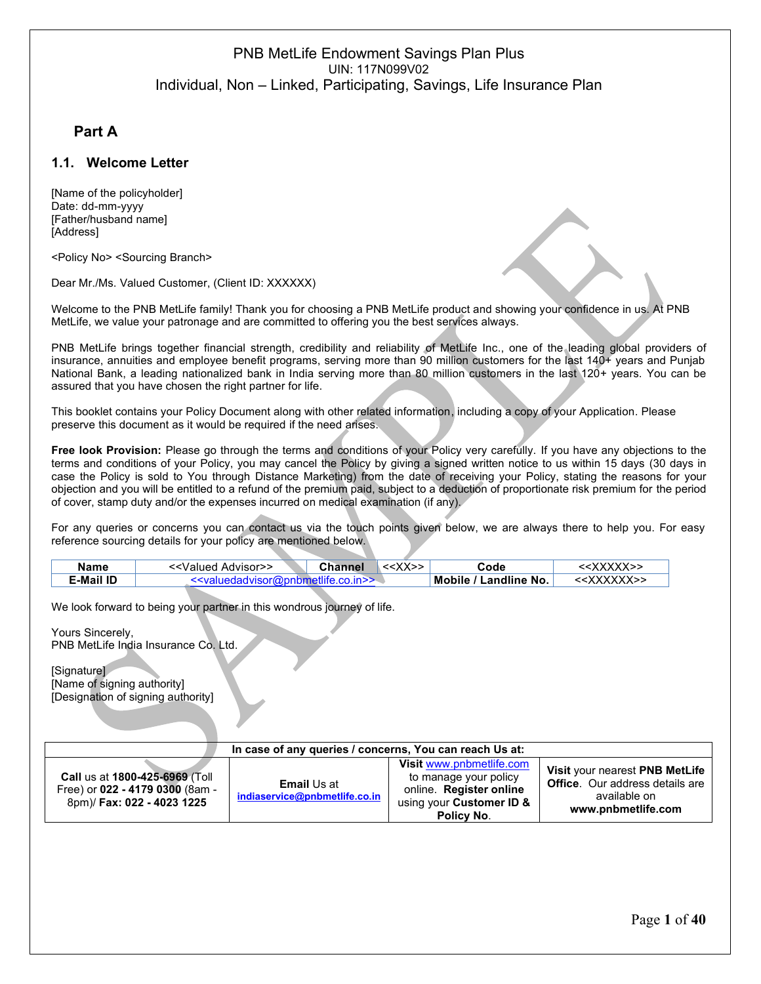## **1. Part A**

### **1.1. Welcome Letter**

[Name of the policyholder] Date: dd-mm-yyyy [Father/husband name] [Address]

<Policy No> <Sourcing Branch>

Dear Mr./Ms. Valued Customer, (Client ID: XXXXXX)

Welcome to the PNB MetLife family! Thank you for choosing a PNB MetLife product and showing your confidence in us. At PNB MetLife, we value your patronage and are committed to offering you the best services always.

PNB MetLife brings together financial strength, credibility and reliability of MetLife Inc., one of the leading global providers of insurance, annuities and employee benefit programs, serving more than 90 million customers for the last 140+ years and Punjab National Bank, a leading nationalized bank in India serving more than 80 million customers in the last 120+ years. You can be assured that you have chosen the right partner for life.

This booklet contains your Policy Document along with other related information, including a copy of your Application. Please preserve this document as it would be required if the need arises.

**Free look Provision:** Please go through the terms and conditions of your Policy very carefully. If you have any objections to the terms and conditions of your Policy, you may cancel the Policy by giving a signed written notice to us within 15 days (30 days in case the Policy is sold to You through Distance Marketing) from the date of receiving your Policy, stating the reasons for your objection and you will be entitled to a refund of the premium paid, subject to a deduction of proportionate risk premium for the period of cover, stamp duty and/or the expenses incurred on medical examination (if any).

For any queries or concerns you can contact us via the touch points given below, we are always there to help you. For easy reference sourcing details for your policy are mentioned below.

| Mobile / Landline No.<br>< <xxxxxx>&gt;<br/><b>E-Mail ID</b><br/>"<valuedadyisor(g)pphmetlife.co.in>&gt;</valuedadyisor(g)pphmetlife.co.in></xxxxxx> |  |
|------------------------------------------------------------------------------------------------------------------------------------------------------|--|

We look forward to being your partner in this wondrous journey of life.

Yours Sincerely, PNB MetLife India Insurance Co. Ltd.

[Signature] [Name of signing authority] [Designation of signing authority]

| In case of any queries / concerns, You can reach Us at:                                         |                                                     |                                                                                                                        |                                                                                                                |  |
|-------------------------------------------------------------------------------------------------|-----------------------------------------------------|------------------------------------------------------------------------------------------------------------------------|----------------------------------------------------------------------------------------------------------------|--|
| Call us at 1800-425-6969 (Toll<br>Free) or 022 - 4179 0300 (8am -<br>8pm)/ Fax: 022 - 4023 1225 | <b>Email Us at</b><br>indiaservice@pnbmetlife.co.in | Visit www.pnbmetlife.com<br>to manage your policy<br>online. Register online<br>using your Customer ID &<br>Policy No. | Visit your nearest PNB MetLife<br><b>Office.</b> Our address details are<br>available on<br>www.pnbmetlife.com |  |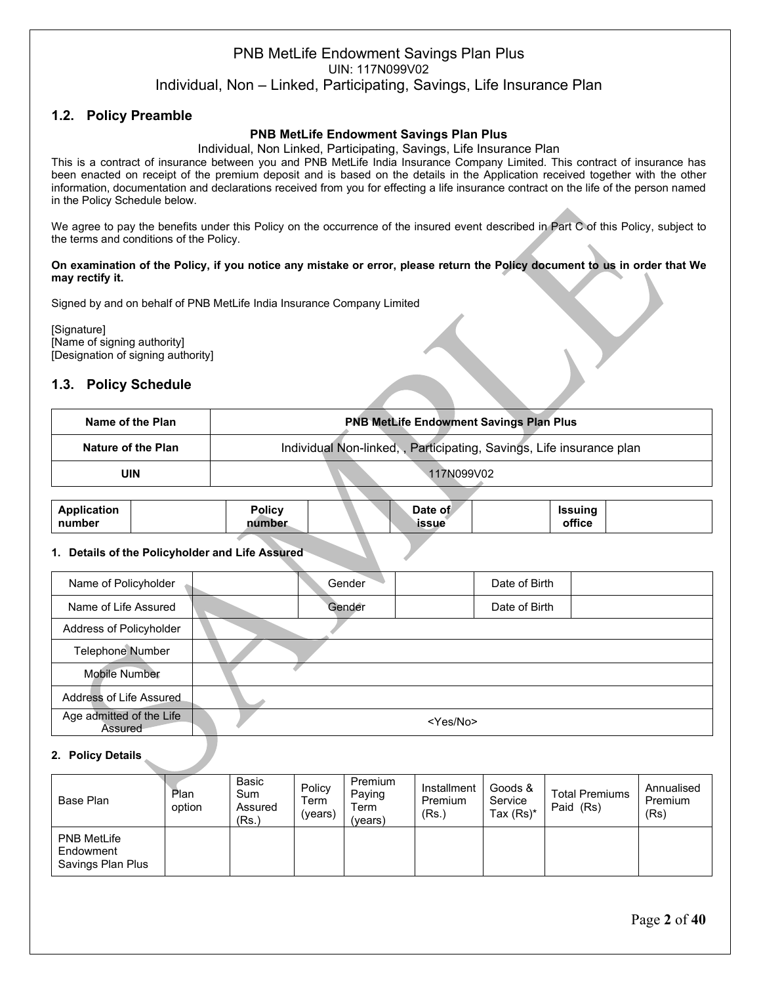## **1.2. Policy Preamble**

### **PNB MetLife Endowment Savings Plan Plus**

Individual, Non Linked, Participating, Savings, Life Insurance Plan

This is a contract of insurance between you and PNB MetLife India Insurance Company Limited. This contract of insurance has been enacted on receipt of the premium deposit and is based on the details in the Application received together with the other information, documentation and declarations received from you for effecting a life insurance contract on the life of the person named in the Policy Schedule below.

We agree to pay the benefits under this Policy on the occurrence of the insured event described in Part C of this Policy, subject to the terms and conditions of the Policy.

#### **On examination of the Policy, if you notice any mistake or error, please return the Policy document to us in order that We may rectify it.**

Signed by and on behalf of PNB MetLife India Insurance Company Limited

[Signature] [Name of signing authority] [Designation of signing authority]

### **1.3. Policy Schedule**

| Name of the Plan   | <b>PNB MetLife Endowment Savings Plan Plus</b>                      |
|--------------------|---------------------------------------------------------------------|
| Nature of the Plan | Individual Non-linked,, Participating, Savings, Life insurance plan |
| UIN                | 117N099V02                                                          |

| <b>Application</b> | <b>Policy</b> |  | Date of | Issuina |  |
|--------------------|---------------|--|---------|---------|--|
| number             | number        |  | issue   | office  |  |

#### **1. Details of the Policyholder and Life Assured**

| Name of Policyholder                | Gender |                   | Date of Birth |  |
|-------------------------------------|--------|-------------------|---------------|--|
|                                     |        |                   |               |  |
| Name of Life Assured                | Gender |                   | Date of Birth |  |
| Address of Policyholder             |        |                   |               |  |
| <b>Telephone Number</b>             |        |                   |               |  |
| Mobile Number                       |        |                   |               |  |
| Address of Life Assured             |        |                   |               |  |
| Age admitted of the Life<br>Assured |        | <yes no=""></yes> |               |  |

#### **2. Policy Details**

| Base Plan                                            | Plan<br>option | Basic<br>Sum<br>Assured<br>(Rs.) | Policy<br>Term<br>(vears) | Premium<br>Paying<br>Геrm.<br>(vears) | Installment<br>Premium<br>(Rs.) | Goods &<br>Service<br>Tax $(Rs)^*$ | <b>Total Premiums</b><br>Paid (Rs) | Annualised<br>Premium<br>(Rs) |
|------------------------------------------------------|----------------|----------------------------------|---------------------------|---------------------------------------|---------------------------------|------------------------------------|------------------------------------|-------------------------------|
| <b>PNB MetLife</b><br>Endowment<br>Savings Plan Plus |                |                                  |                           |                                       |                                 |                                    |                                    |                               |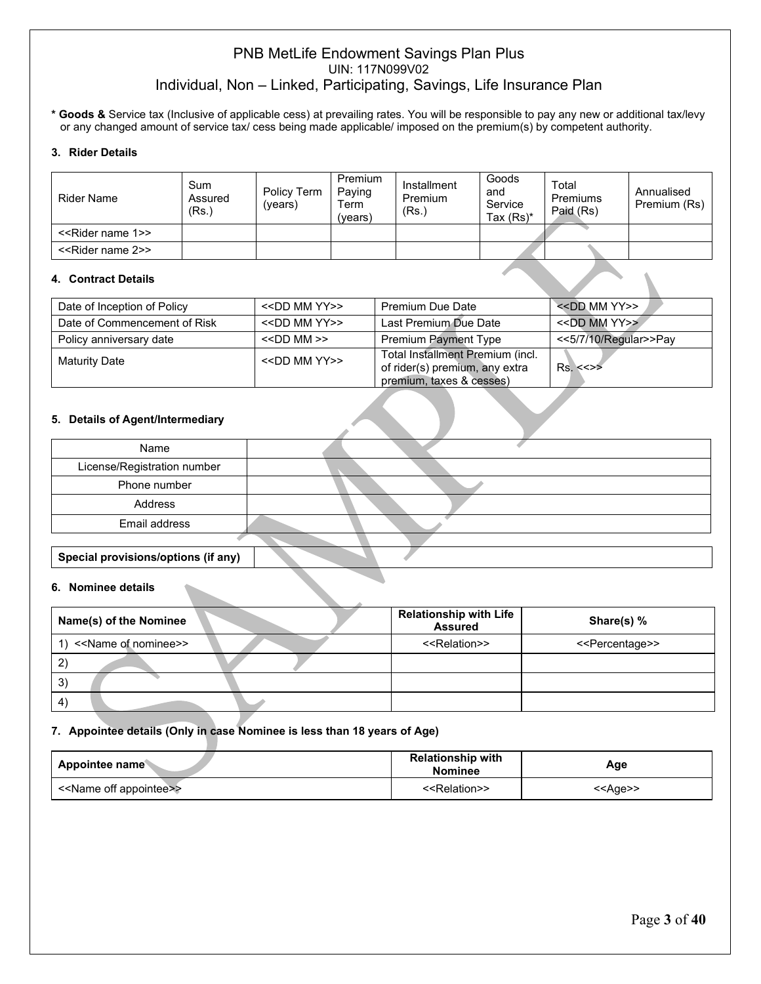**\* Goods &** Service tax (Inclusive of applicable cess) at prevailing rates. You will be responsible to pay any new or additional tax/levy or any changed amount of service tax/ cess being made applicable/ imposed on the premium(s) by competent authority.

#### **3. Rider Details**

| <b>Rider Name</b>                  | Sum<br>Assured<br>(Rs.) | Policy Term<br>(vears | Premium<br>Paying<br>Term<br>(vears) | Installment<br>Premium<br>(Rs., | Goods<br>and<br>Service<br>Tax $(Rs)^*$ | Total<br>Premiums<br>Paid (Rs) | Annualised<br>Premium (Rs) |
|------------------------------------|-------------------------|-----------------------|--------------------------------------|---------------------------------|-----------------------------------------|--------------------------------|----------------------------|
| < <rider 1="" name="">&gt;</rider> |                         |                       |                                      |                                 |                                         |                                |                            |
| < <rider 2="" name="">&gt;</rider> |                         |                       |                                      |                                 |                                         |                                |                            |

#### **4. Contract Details**

| Date of Inception of Policy  | < <dd mm="" yy="">&gt;</dd> | Premium Due Date                                                                               | $<<$ DD MM YY>>       |
|------------------------------|-----------------------------|------------------------------------------------------------------------------------------------|-----------------------|
| Date of Commencement of Risk | < <dd mm="" yy="">&gt;</dd> | Last Premium Due Date                                                                          | $<<$ DD MM YY>>       |
| Policy anniversary date      | $\le$ DD MM $\ge$           | <b>Premium Payment Type</b>                                                                    | <<5/7/10/Regular>>Pay |
| <b>Maturity Date</b>         | $<<$ DD MM YY>>             | Total Installment Premium (incl.<br>of rider(s) premium, any extra<br>premium, taxes & cesses) | Rs < >>               |

#### **5. Details of Agent/Intermediary**

| Name                                |  |
|-------------------------------------|--|
| License/Registration number         |  |
| Phone number                        |  |
| Address                             |  |
| Email address                       |  |
|                                     |  |
| Special provisions/options (if any) |  |

#### **6. Nominee details**

| Name(s) of the Nominee               | <b>Relationship with Life</b><br><b>Assured</b> | Share(s) %                      |
|--------------------------------------|-------------------------------------------------|---------------------------------|
| < <name nominee="" of="">&gt;</name> | < <relation>&gt;</relation>                     | < <percentage>&gt;</percentage> |
| $\mathbf{2}$                         |                                                 |                                 |
| 3)                                   |                                                 |                                 |
| $ 4\rangle$                          |                                                 |                                 |

#### **7. Appointee details (Only in case Nominee is less than 18 years of Age)**

| Appointee name                          | <b>Relationship with</b><br><b>Nominee</b> | Age               |
|-----------------------------------------|--------------------------------------------|-------------------|
| < <name appointee="" off="">&gt;</name> | < <relation>&gt;</relation>                | < <aqe>&gt;</aqe> |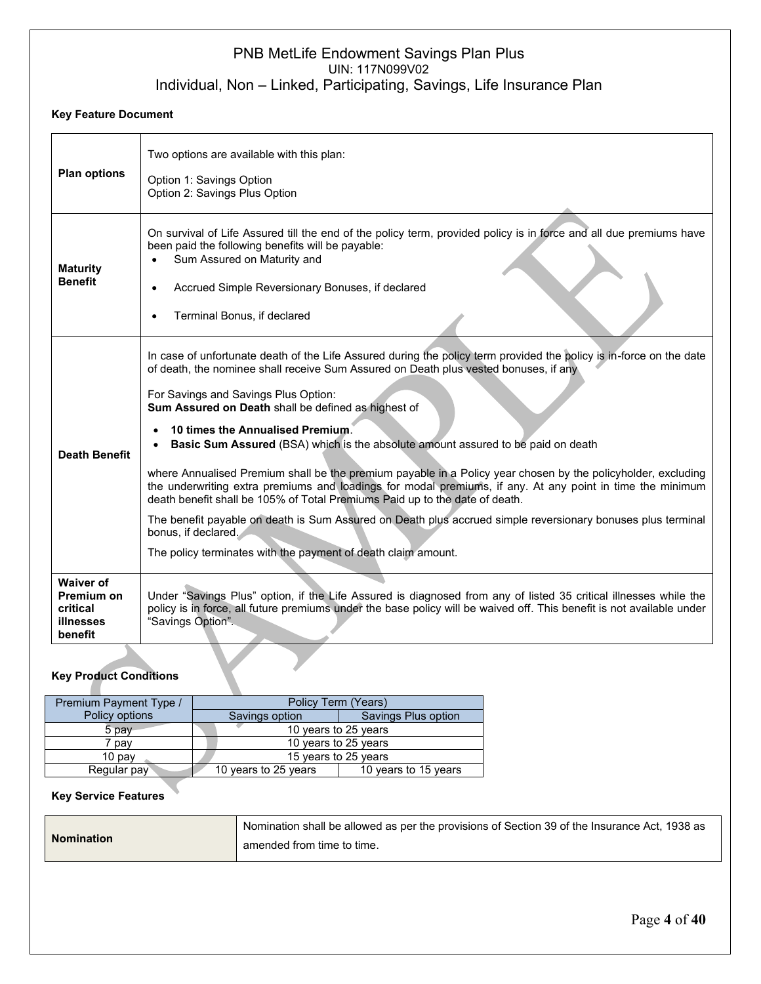#### **Key Feature Document**

| <b>Plan options</b>                                                | Two options are available with this plan:<br>Option 1: Savings Option<br>Option 2: Savings Plus Option                                                                                                                                                                                                                                                                                                                                                                                                                                                                                                                                                                                                                                                                                                                                                                                                                                                |
|--------------------------------------------------------------------|-------------------------------------------------------------------------------------------------------------------------------------------------------------------------------------------------------------------------------------------------------------------------------------------------------------------------------------------------------------------------------------------------------------------------------------------------------------------------------------------------------------------------------------------------------------------------------------------------------------------------------------------------------------------------------------------------------------------------------------------------------------------------------------------------------------------------------------------------------------------------------------------------------------------------------------------------------|
| <b>Maturity</b><br><b>Benefit</b>                                  | On survival of Life Assured till the end of the policy term, provided policy is in force and all due premiums have<br>been paid the following benefits will be payable:<br>Sum Assured on Maturity and<br>Accrued Simple Reversionary Bonuses, if declared<br>Terminal Bonus, if declared                                                                                                                                                                                                                                                                                                                                                                                                                                                                                                                                                                                                                                                             |
| <b>Death Benefit</b>                                               | In case of unfortunate death of the Life Assured during the policy term provided the policy is in-force on the date<br>of death, the nominee shall receive Sum Assured on Death plus vested bonuses, if any<br>For Savings and Savings Plus Option:<br>Sum Assured on Death shall be defined as highest of<br>10 times the Annualised Premium.<br>Basic Sum Assured (BSA) which is the absolute amount assured to be paid on death<br>where Annualised Premium shall be the premium payable in a Policy year chosen by the policyholder, excluding<br>the underwriting extra premiums and loadings for modal premiums, if any. At any point in time the minimum<br>death benefit shall be 105% of Total Premiums Paid up to the date of death.<br>The benefit payable on death is Sum Assured on Death plus accrued simple reversionary bonuses plus terminal<br>bonus, if declared.<br>The policy terminates with the payment of death claim amount. |
| <b>Waiver of</b><br>Premium on<br>critical<br>illnesses<br>benefit | Under "Savings Plus" option, if the Life Assured is diagnosed from any of listed 35 critical illnesses while the<br>policy is in force, all future premiums under the base policy will be waived off. This benefit is not available under<br>"Savings Option".                                                                                                                                                                                                                                                                                                                                                                                                                                                                                                                                                                                                                                                                                        |
| <b>Key Product Conditions</b>                                      |                                                                                                                                                                                                                                                                                                                                                                                                                                                                                                                                                                                                                                                                                                                                                                                                                                                                                                                                                       |

## **Key Product Conditions**

| Premium Payment Type / | Policy Term (Years)  |                      |
|------------------------|----------------------|----------------------|
| Policy options         | Savings option       | Savings Plus option  |
| 5 pav                  | 10 years to 25 years |                      |
| pav                    | 10 years to 25 years |                      |
| $10$ pay               | 15 years to 25 years |                      |
| Regular pay            | 10 years to 25 years | 10 years to 15 years |

### **Key Service Features**

|                   | Nomination shall be allowed as per the provisions of Section 39 of the Insurance Act, 1938 as |
|-------------------|-----------------------------------------------------------------------------------------------|
| <b>Nomination</b> | amended from time to time.                                                                    |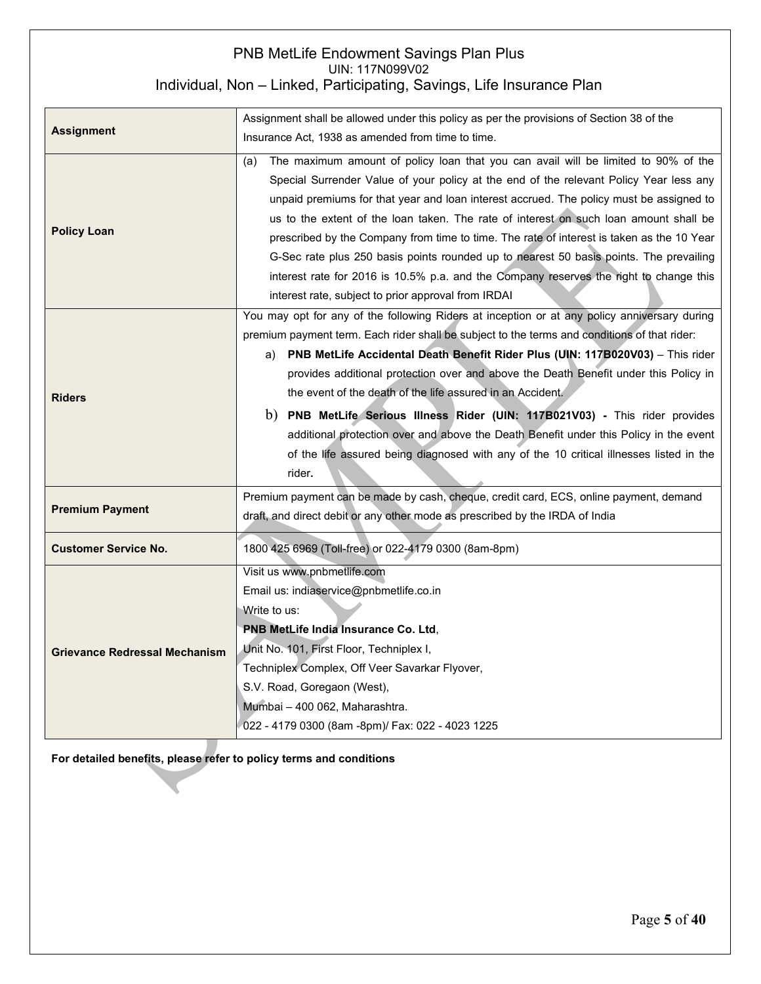| <b>Assignment</b>                    | Assignment shall be allowed under this policy as per the provisions of Section 38 of the<br>Insurance Act, 1938 as amended from time to time.                                                                                                                                                                                                                                                                                                                                                                                                                                                                                                                                                                            |  |
|--------------------------------------|--------------------------------------------------------------------------------------------------------------------------------------------------------------------------------------------------------------------------------------------------------------------------------------------------------------------------------------------------------------------------------------------------------------------------------------------------------------------------------------------------------------------------------------------------------------------------------------------------------------------------------------------------------------------------------------------------------------------------|--|
|                                      |                                                                                                                                                                                                                                                                                                                                                                                                                                                                                                                                                                                                                                                                                                                          |  |
| <b>Policy Loan</b>                   | The maximum amount of policy loan that you can avail will be limited to 90% of the<br>(a)<br>Special Surrender Value of your policy at the end of the relevant Policy Year less any<br>unpaid premiums for that year and loan interest accrued. The policy must be assigned to<br>us to the extent of the loan taken. The rate of interest on such loan amount shall be<br>prescribed by the Company from time to time. The rate of interest is taken as the 10 Year<br>G-Sec rate plus 250 basis points rounded up to nearest 50 basis points. The prevailing<br>interest rate for 2016 is 10.5% p.a. and the Company reserves the right to change this<br>interest rate, subject to prior approval from IRDAI          |  |
| <b>Riders</b>                        | You may opt for any of the following Riders at inception or at any policy anniversary during<br>premium payment term. Each rider shall be subject to the terms and conditions of that rider:<br>a) PNB MetLife Accidental Death Benefit Rider Plus (UIN: 117B020V03) - This rider<br>provides additional protection over and above the Death Benefit under this Policy in<br>the event of the death of the life assured in an Accident.<br>PNB MetLife Serious Illness Rider (UIN: 117B021V03) - This rider provides<br>b)<br>additional protection over and above the Death Benefit under this Policy in the event<br>of the life assured being diagnosed with any of the 10 critical illnesses listed in the<br>rider. |  |
| <b>Premium Payment</b>               | Premium payment can be made by cash, cheque, credit card, ECS, online payment, demand<br>draft, and direct debit or any other mode as prescribed by the IRDA of India                                                                                                                                                                                                                                                                                                                                                                                                                                                                                                                                                    |  |
| <b>Customer Service No.</b>          | 1800 425 6969 (Toll-free) or 022-4179 0300 (8am-8pm)                                                                                                                                                                                                                                                                                                                                                                                                                                                                                                                                                                                                                                                                     |  |
| <b>Grievance Redressal Mechanism</b> | Visit us www.pnbmetlife.com<br>Email us: indiaservice@pnbmetlife.co.in<br>Write to us:<br>PNB MetLife India Insurance Co. Ltd,<br>Unit No. 101, First Floor, Techniplex I,<br>Techniplex Complex, Off Veer Savarkar Flyover,<br>S.V. Road, Goregaon (West),<br>Mumbai - 400 062, Maharashtra.<br>022 - 4179 0300 (8am -8pm)/ Fax: 022 - 4023 1225                                                                                                                                                                                                                                                                                                                                                                        |  |

**For detailed benefits, please refer to policy terms and conditions**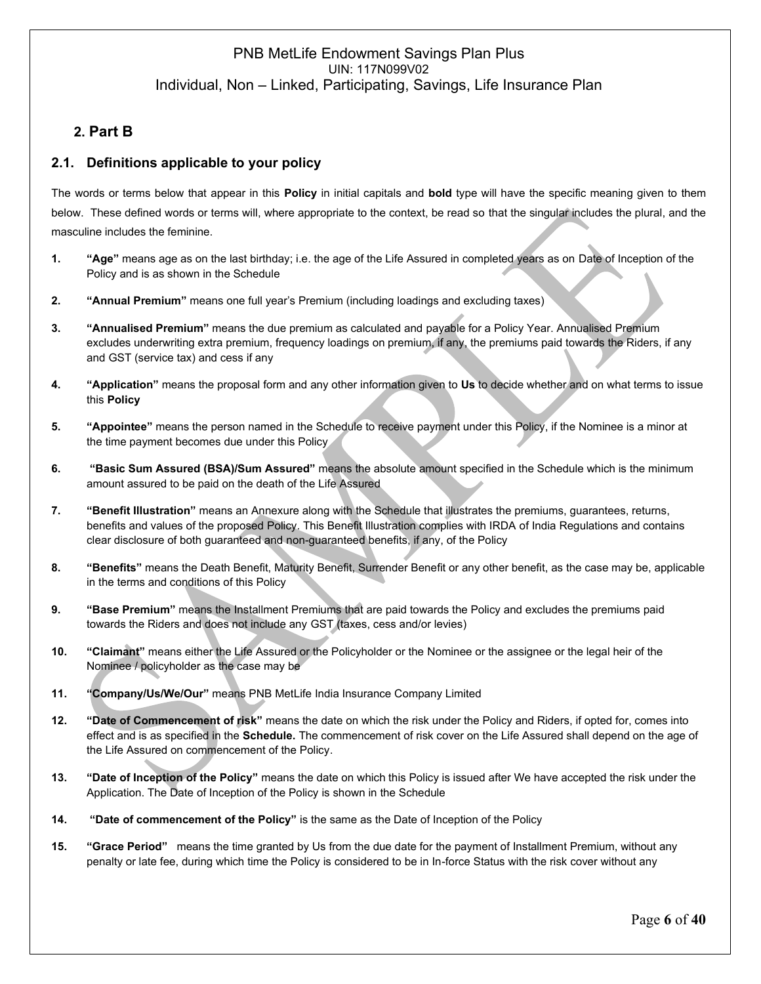## **2. 2. Part B**

### **2.1. Definitions applicable to your policy**

The words or terms below that appear in this **Policy** in initial capitals and **bold** type will have the specific meaning given to them below. These defined words or terms will, where appropriate to the context, be read so that the singular includes the plural, and the masculine includes the feminine.

- **1. "Age"** means age as on the last birthday; i.e. the age of the Life Assured in completed years as on Date of Inception of the Policy and is as shown in the Schedule
- **2. "Annual Premium"** means one full year's Premium (including loadings and excluding taxes)
- **3. "Annualised Premium"** means the due premium as calculated and payable for a Policy Year. Annualised Premium excludes underwriting extra premium, frequency loadings on premium, if any, the premiums paid towards the Riders, if any and GST (service tax) and cess if any
- **4. "Application"** means the proposal form and any other information given to **Us** to decide whether and on what terms to issue this **Policy**
- **5. "Appointee"** means the person named in the Schedule to receive payment under this Policy, if the Nominee is a minor at the time payment becomes due under this Policy
- **6. "Basic Sum Assured (BSA)/Sum Assured"** means the absolute amount specified in the Schedule which is the minimum amount assured to be paid on the death of the Life Assured
- **7. "Benefit Illustration"** means an Annexure along with the Schedule that illustrates the premiums, guarantees, returns, benefits and values of the proposed Policy. This Benefit Illustration complies with IRDA of India Regulations and contains clear disclosure of both guaranteed and non-guaranteed benefits, if any, of the Policy
- **8. "Benefits"** means the Death Benefit, Maturity Benefit, Surrender Benefit or any other benefit, as the case may be, applicable in the terms and conditions of this Policy
- **9. "Base Premium"** means the Installment Premiums that are paid towards the Policy and excludes the premiums paid towards the Riders and does not include any GST (taxes, cess and/or levies)
- **10. "Claimant"** means either the Life Assured or the Policyholder or the Nominee or the assignee or the legal heir of the Nominee / policyholder as the case may be
- **11. "Company/Us/We/Our"** means PNB MetLife India Insurance Company Limited
- **12. "Date of Commencement of risk"** means the date on which the risk under the Policy and Riders, if opted for, comes into effect and is as specified in the **Schedule.** The commencement of risk cover on the Life Assured shall depend on the age of the Life Assured on commencement of the Policy.
- **13. "Date of Inception of the Policy"** means the date on which this Policy is issued after We have accepted the risk under the Application. The Date of Inception of the Policy is shown in the Schedule
- **14. "Date of commencement of the Policy"** is the same as the Date of Inception of the Policy
- **15. "Grace Period"** means the time granted by Us from the due date for the payment of Installment Premium, without any penalty or late fee, during which time the Policy is considered to be in In-force Status with the risk cover without any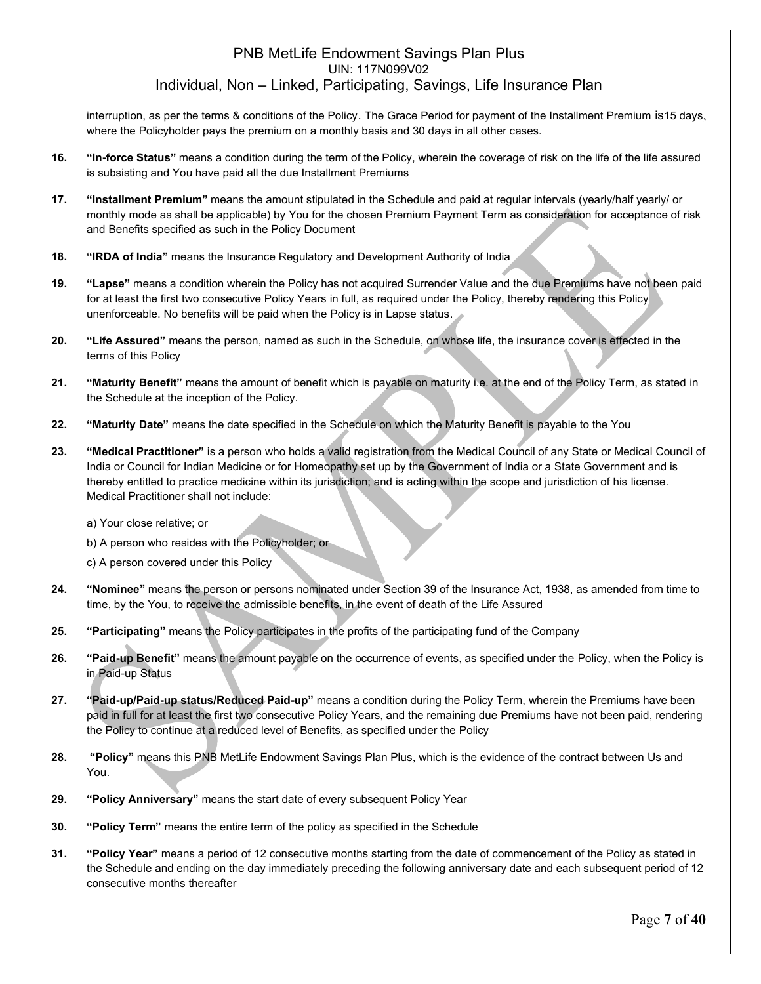interruption, as per the terms & conditions of the Policy. The Grace Period for payment of the Installment Premium is15 days, where the Policyholder pays the premium on a monthly basis and 30 days in all other cases.

- **16. "In-force Status"** means a condition during the term of the Policy, wherein the coverage of risk on the life of the life assured is subsisting and You have paid all the due Installment Premiums
- **17. "Installment Premium"** means the amount stipulated in the Schedule and paid at regular intervals (yearly/half yearly/ or monthly mode as shall be applicable) by You for the chosen Premium Payment Term as consideration for acceptance of risk and Benefits specified as such in the Policy Document
- **18. "IRDA of India"** means the Insurance Regulatory and Development Authority of India
- **19. "Lapse"** means a condition wherein the Policy has not acquired Surrender Value and the due Premiums have not been paid for at least the first two consecutive Policy Years in full, as required under the Policy, thereby rendering this Policy unenforceable. No benefits will be paid when the Policy is in Lapse status.
- **20. "Life Assured"** means the person, named as such in the Schedule, on whose life, the insurance cover is effected in the terms of this Policy
- **21. "Maturity Benefit"** means the amount of benefit which is payable on maturity i.e. at the end of the Policy Term, as stated in the Schedule at the inception of the Policy.
- **22. "Maturity Date"** means the date specified in the Schedule on which the Maturity Benefit is payable to the You
- **23. "Medical Practitioner"** is a person who holds a valid registration from the Medical Council of any State or Medical Council of India or Council for Indian Medicine or for Homeopathy set up by the Government of India or a State Government and is thereby entitled to practice medicine within its jurisdiction; and is acting within the scope and jurisdiction of his license. Medical Practitioner shall not include:

#### a) Your close relative; or

- b) A person who resides with the Policyholder; or
- c) A person covered under this Policy
- **24. "Nominee"** means the person or persons nominated under Section 39 of the Insurance Act, 1938, as amended from time to time, by the You, to receive the admissible benefits, in the event of death of the Life Assured
- **25. "Participating"** means the Policy participates in the profits of the participating fund of the Company
- **26. "Paid-up Benefit"** means the amount payable on the occurrence of events, as specified under the Policy, when the Policy is in Paid-up Status
- **27. "Paid-up/Paid-up status/Reduced Paid-up"** means a condition during the Policy Term, wherein the Premiums have been paid in full for at least the first two consecutive Policy Years, and the remaining due Premiums have not been paid, rendering the Policy to continue at a reduced level of Benefits, as specified under the Policy
- **28. "Policy"** means this PNB MetLife Endowment Savings Plan Plus, which is the evidence of the contract between Us and You.
- **29. "Policy Anniversary"** means the start date of every subsequent Policy Year
- **30. "Policy Term"** means the entire term of the policy as specified in the Schedule
- **31. "Policy Year"** means a period of 12 consecutive months starting from the date of commencement of the Policy as stated in the Schedule and ending on the day immediately preceding the following anniversary date and each subsequent period of 12 consecutive months thereafter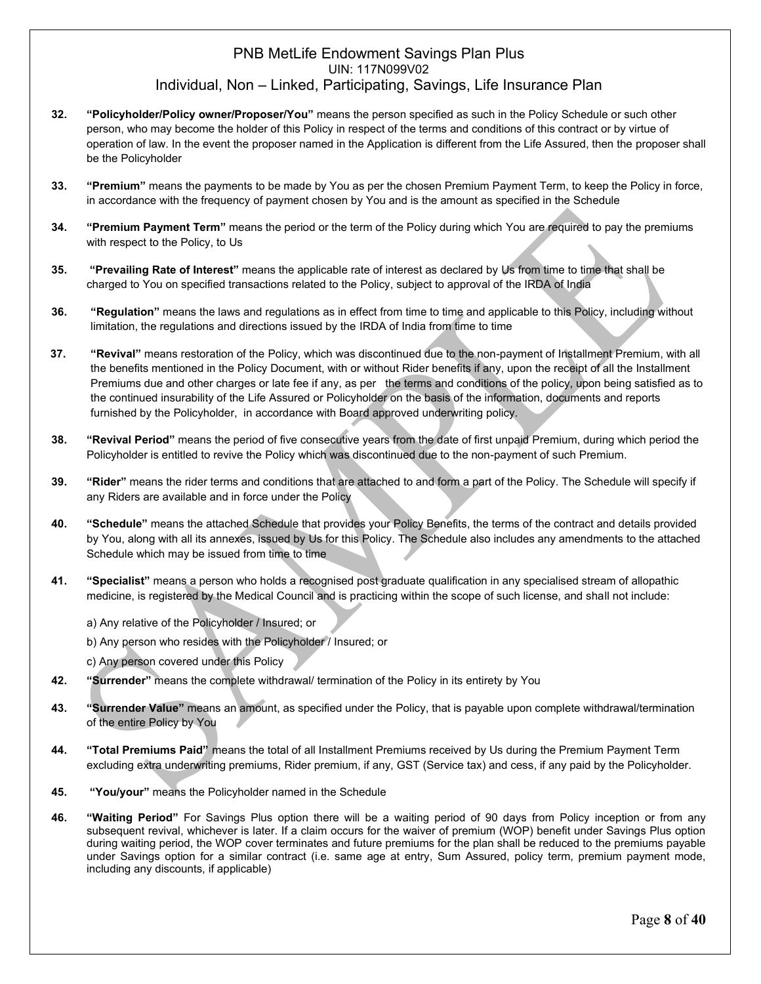- **32. "Policyholder/Policy owner/Proposer/You"** means the person specified as such in the Policy Schedule or such other person, who may become the holder of this Policy in respect of the terms and conditions of this contract or by virtue of operation of law. In the event the proposer named in the Application is different from the Life Assured, then the proposer shall be the Policyholder
- **33. "Premium"** means the payments to be made by You as per the chosen Premium Payment Term, to keep the Policy in force, in accordance with the frequency of payment chosen by You and is the amount as specified in the Schedule
- **34. "Premium Payment Term"** means the period or the term of the Policy during which You are required to pay the premiums with respect to the Policy, to Us
- **35. "Prevailing Rate of Interest"** means the applicable rate of interest as declared by Us from time to time that shall be charged to You on specified transactions related to the Policy, subject to approval of the IRDA of India
- **36. "Regulation"** means the laws and regulations as in effect from time to time and applicable to this Policy, including without limitation, the regulations and directions issued by the IRDA of India from time to time
- **37. "Revival"** means restoration of the Policy, which was discontinued due to the non-payment of Installment Premium, with all the benefits mentioned in the Policy Document, with or without Rider benefits if any, upon the receipt of all the Installment Premiums due and other charges or late fee if any, as per the terms and conditions of the policy, upon being satisfied as to the continued insurability of the Life Assured or Policyholder on the basis of the information, documents and reports furnished by the Policyholder, in accordance with Board approved underwriting policy.
- **38. "Revival Period"** means the period of five consecutive years from the date of first unpaid Premium, during which period the Policyholder is entitled to revive the Policy which was discontinued due to the non-payment of such Premium.
- **39. "Rider"** means the rider terms and conditions that are attached to and form a part of the Policy. The Schedule will specify if any Riders are available and in force under the Policy
- **40. "Schedule"** means the attached Schedule that provides your Policy Benefits, the terms of the contract and details provided by You, along with all its annexes, issued by Us for this Policy. The Schedule also includes any amendments to the attached Schedule which may be issued from time to time
- **41. "Specialist"** means a person who holds a recognised post graduate qualification in any specialised stream of allopathic medicine, is registered by the Medical Council and is practicing within the scope of such license, and shall not include:
	- a) Any relative of the Policyholder / Insured; or
	- b) Any person who resides with the Policyholder / Insured; or
	- c) Any person covered under this Policy
- **42. "Surrender"** means the complete withdrawal/ termination of the Policy in its entirety by You
- **43. "Surrender Value"** means an amount, as specified under the Policy, that is payable upon complete withdrawal/termination of the entire Policy by You
- **44. "Total Premiums Paid"** means the total of all Installment Premiums received by Us during the Premium Payment Term excluding extra underwriting premiums, Rider premium, if any, GST (Service tax) and cess, if any paid by the Policyholder.
- **45. "You/your"** means the Policyholder named in the Schedule
- **46. "Waiting Period"** For Savings Plus option there will be a waiting period of 90 days from Policy inception or from any subsequent revival, whichever is later. If a claim occurs for the waiver of premium (WOP) benefit under Savings Plus option during waiting period, the WOP cover terminates and future premiums for the plan shall be reduced to the premiums payable under Savings option for a similar contract (i.e. same age at entry, Sum Assured, policy term, premium payment mode, including any discounts, if applicable)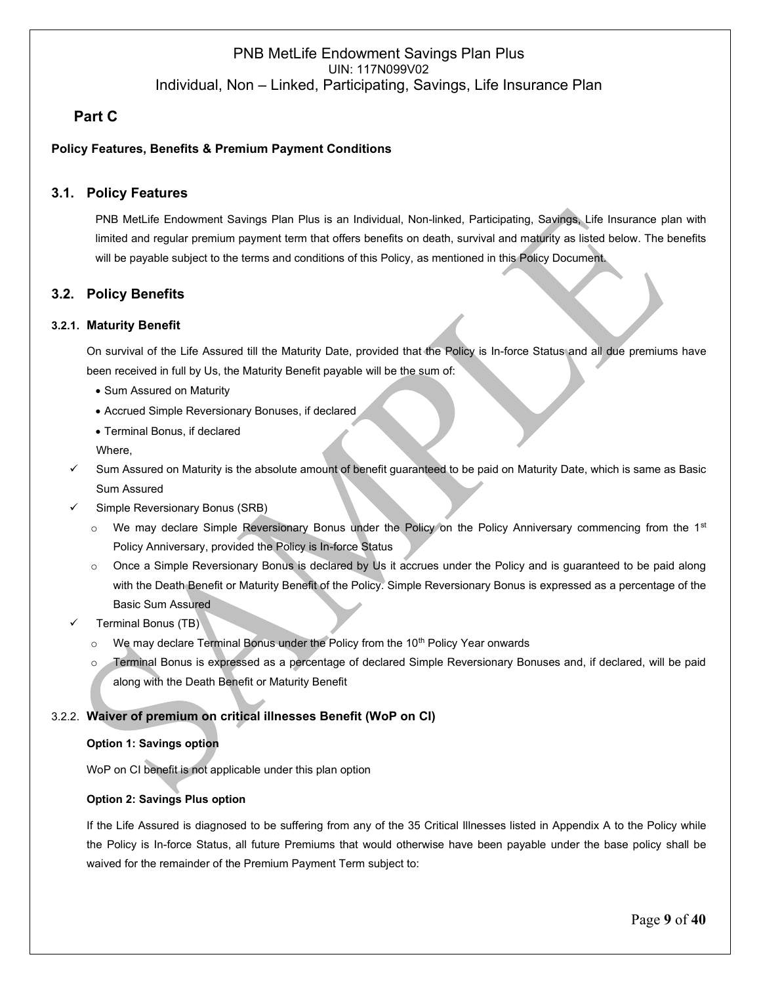## **3. Part C**

### **Policy Features, Benefits & Premium Payment Conditions**

### **3.1. Policy Features**

PNB MetLife Endowment Savings Plan Plus is an Individual, Non-linked, Participating, Savings, Life Insurance plan with limited and regular premium payment term that offers benefits on death, survival and maturity as listed below. The benefits will be payable subject to the terms and conditions of this Policy, as mentioned in this Policy Document.

### **3.2. Policy Benefits**

### **3.2.1. Maturity Benefit**

On survival of the Life Assured till the Maturity Date, provided that the Policy is In-force Status and all due premiums have been received in full by Us, the Maturity Benefit payable will be the sum of:

- Sum Assured on Maturity
- Accrued Simple Reversionary Bonuses, if declared
- Terminal Bonus, if declared
- Where,
- ✓ Sum Assured on Maturity is the absolute amount of benefit guaranteed to be paid on Maturity Date, which is same as Basic Sum Assured
- Simple Reversionary Bonus (SRB)
	- $\circ$  We may declare Simple Reversionary Bonus under the Policy on the Policy Anniversary commencing from the 1<sup>st</sup> Policy Anniversary, provided the Policy is In-force Status
	- o Once a Simple Reversionary Bonus is declared by Us it accrues under the Policy and is guaranteed to be paid along with the Death Benefit or Maturity Benefit of the Policy. Simple Reversionary Bonus is expressed as a percentage of the Basic Sum Assured
- Terminal Bonus (TB)
	- $\circ$  We may declare Terminal Bonus under the Policy from the 10<sup>th</sup> Policy Year onwards
	- o Terminal Bonus is expressed as a percentage of declared Simple Reversionary Bonuses and, if declared, will be paid along with the Death Benefit or Maturity Benefit

### 3.2.2. **Waiver of premium on critical illnesses Benefit (WoP on CI)**

#### **Option 1: Savings option**

WoP on CI benefit is not applicable under this plan option

#### **Option 2: Savings Plus option**

If the Life Assured is diagnosed to be suffering from any of the 35 Critical Illnesses listed in Appendix A to the Policy while the Policy is In-force Status, all future Premiums that would otherwise have been payable under the base policy shall be waived for the remainder of the Premium Payment Term subject to: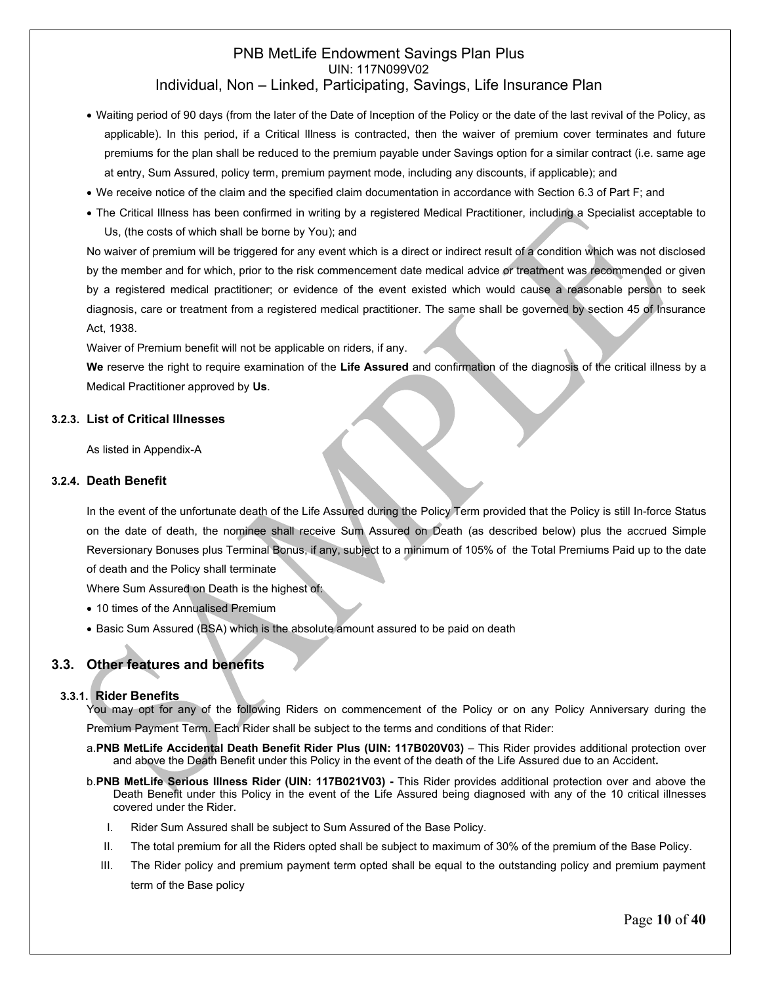- Waiting period of 90 days (from the later of the Date of Inception of the Policy or the date of the last revival of the Policy, as applicable). In this period, if a Critical Illness is contracted, then the waiver of premium cover terminates and future premiums for the plan shall be reduced to the premium payable under Savings option for a similar contract (i.e. same age at entry, Sum Assured, policy term, premium payment mode, including any discounts, if applicable); and
- We receive notice of the claim and the specified claim documentation in accordance with Section 6.3 of Part F; and
- The Critical Illness has been confirmed in writing by a registered Medical Practitioner, including a Specialist acceptable to Us, (the costs of which shall be borne by You); and

No waiver of premium will be triggered for any event which is a direct or indirect result of a condition which was not disclosed by the member and for which, prior to the risk commencement date medical advice or treatment was recommended or given by a registered medical practitioner; or evidence of the event existed which would cause a reasonable person to seek diagnosis, care or treatment from a registered medical practitioner. The same shall be governed by section 45 of Insurance Act, 1938.

Waiver of Premium benefit will not be applicable on riders, if any.

**We** reserve the right to require examination of the **Life Assured** and confirmation of the diagnosis of the critical illness by a Medical Practitioner approved by **Us**.

#### **3.2.3. List of Critical Illnesses**

As listed in Appendix-A

#### **3.2.4. Death Benefit**

In the event of the unfortunate death of the Life Assured during the Policy Term provided that the Policy is still In-force Status on the date of death, the nominee shall receive Sum Assured on Death (as described below) plus the accrued Simple Reversionary Bonuses plus Terminal Bonus, if any, subject to a minimum of 105% of the Total Premiums Paid up to the date of death and the Policy shall terminate

Where Sum Assured on Death is the highest of:

- 10 times of the Annualised Premium
- Basic Sum Assured (BSA) which is the absolute amount assured to be paid on death

### **3.3. Other features and benefits**

#### **3.3.1. Rider Benefits**

You may opt for any of the following Riders on commencement of the Policy or on any Policy Anniversary during the Premium Payment Term. Each Rider shall be subject to the terms and conditions of that Rider:

- a.**PNB MetLife Accidental Death Benefit Rider Plus (UIN: 117B020V03)** This Rider provides additional protection over and above the Death Benefit under this Policy in the event of the death of the Life Assured due to an Accident**.**
- b.**PNB MetLife Serious Illness Rider (UIN: 117B021V03) -** This Rider provides additional protection over and above the Death Benefit under this Policy in the event of the Life Assured being diagnosed with any of the 10 critical illnesses covered under the Rider.
	- I. Rider Sum Assured shall be subject to Sum Assured of the Base Policy.
	- II. The total premium for all the Riders opted shall be subject to maximum of 30% of the premium of the Base Policy.
	- III. The Rider policy and premium payment term opted shall be equal to the outstanding policy and premium payment term of the Base policy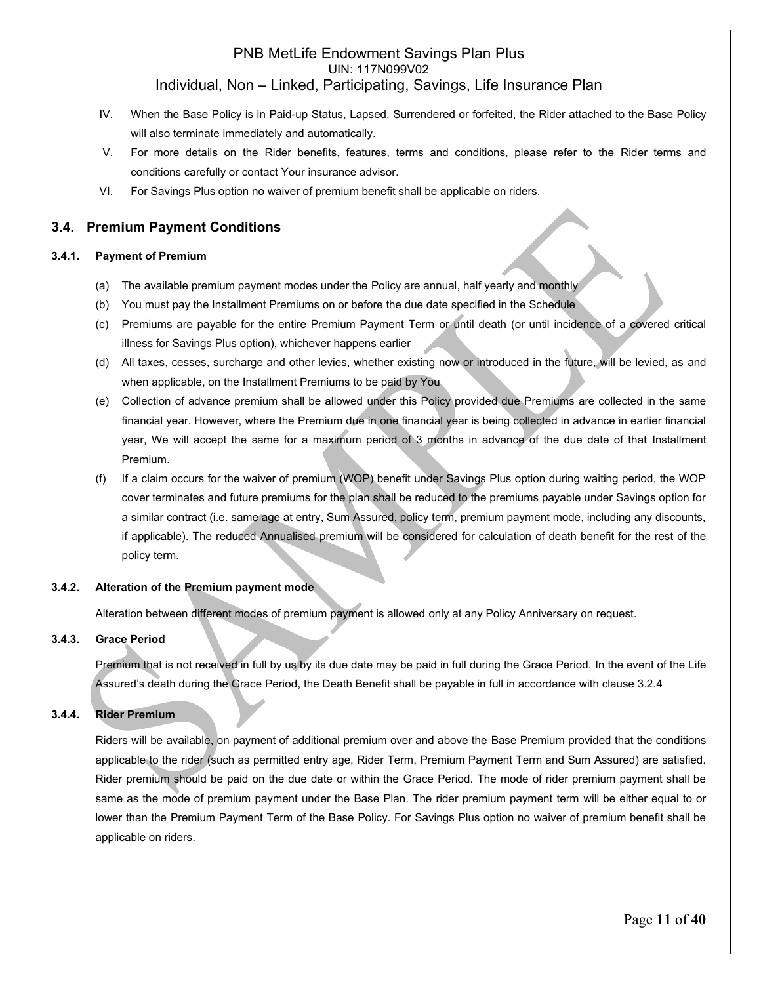- IV. When the Base Policy is in Paid-up Status, Lapsed, Surrendered or forfeited, the Rider attached to the Base Policy will also terminate immediately and automatically.
- V. For more details on the Rider benefits, features, terms and conditions, please refer to the Rider terms and conditions carefully or contact Your insurance advisor.
- VI. For Savings Plus option no waiver of premium benefit shall be applicable on riders.

### **3.4. Premium Payment Conditions**

#### **3.4.1. Payment of Premium**

- (a) The available premium payment modes under the Policy are annual, half yearly and monthly
- (b) You must pay the Installment Premiums on or before the due date specified in the Schedule
- (c) Premiums are payable for the entire Premium Payment Term or until death (or until incidence of a covered critical illness for Savings Plus option), whichever happens earlier
- (d) All taxes, cesses, surcharge and other levies, whether existing now or introduced in the future, will be levied, as and when applicable, on the Installment Premiums to be paid by You
- (e) Collection of advance premium shall be allowed under this Policy provided due Premiums are collected in the same financial year. However, where the Premium due in one financial year is being collected in advance in earlier financial year, We will accept the same for a maximum period of 3 months in advance of the due date of that Installment Premium.
- (f) If a claim occurs for the waiver of premium (WOP) benefit under Savings Plus option during waiting period, the WOP cover terminates and future premiums for the plan shall be reduced to the premiums payable under Savings option for a similar contract (i.e. same age at entry, Sum Assured, policy term, premium payment mode, including any discounts, if applicable). The reduced Annualised premium will be considered for calculation of death benefit for the rest of the policy term.

#### **3.4.2. Alteration of the Premium payment mode**

Alteration between different modes of premium payment is allowed only at any Policy Anniversary on request.

#### **3.4.3. Grace Period**

Premium that is not received in full by us by its due date may be paid in full during the Grace Period. In the event of the Life Assured's death during the Grace Period, the Death Benefit shall be payable in full in accordance with clause 3.2.4

#### **3.4.4. Rider Premium**

Riders will be available, on payment of additional premium over and above the Base Premium provided that the conditions applicable to the rider (such as permitted entry age, Rider Term, Premium Payment Term and Sum Assured) are satisfied. Rider premium should be paid on the due date or within the Grace Period. The mode of rider premium payment shall be same as the mode of premium payment under the Base Plan. The rider premium payment term will be either equal to or lower than the Premium Payment Term of the Base Policy. For Savings Plus option no waiver of premium benefit shall be applicable on riders.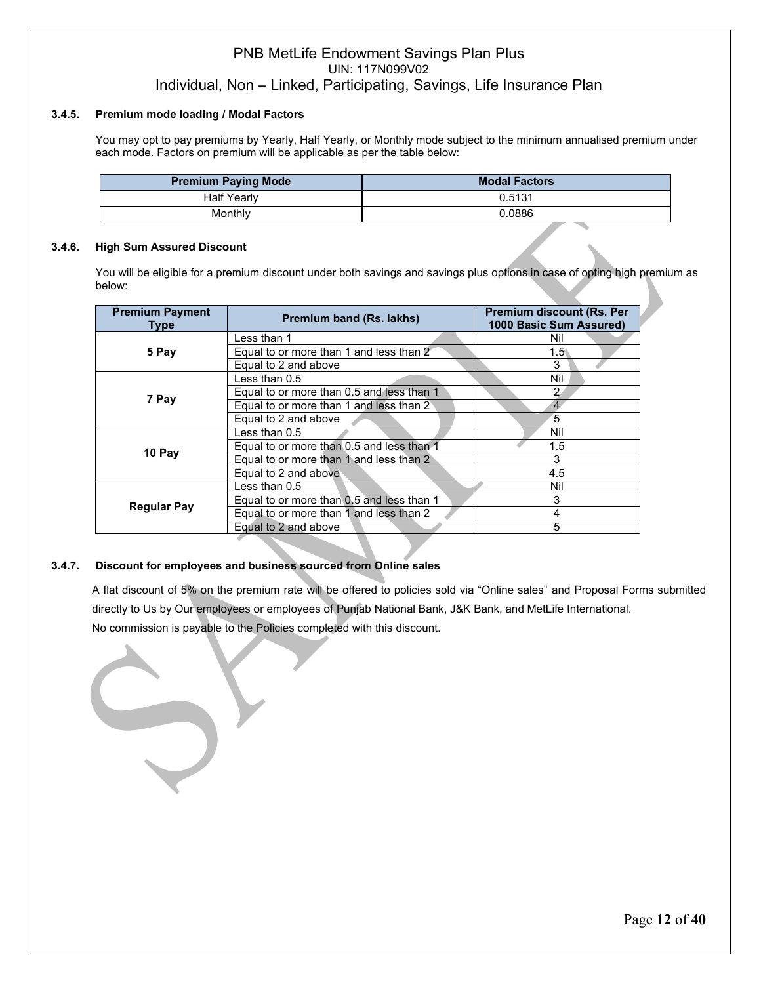#### **3.4.5. Premium mode loading / Modal Factors**

You may opt to pay premiums by Yearly, Half Yearly, or Monthly mode subject to the minimum annualised premium under each mode. Factors on premium will be applicable as per the table below:

| <b>Premium Paying Mode</b> | <b>Modal Factors</b> |
|----------------------------|----------------------|
| <b>Half Yearly</b>         | 0.5131               |
| Monthlv                    | 0.0886               |

#### **3.4.6. High Sum Assured Discount**

You will be eligible for a premium discount under both savings and savings plus options in case of opting high premium as below:

| <b>Premium Payment</b><br><b>Type</b> | Premium band (Rs. lakhs)                  | <b>Premium discount (Rs. Per</b><br>1000 Basic Sum Assured) |
|---------------------------------------|-------------------------------------------|-------------------------------------------------------------|
|                                       | Less than 1                               | Nil                                                         |
| 5 Pay                                 | Equal to or more than 1 and less than 2   | $1.5^{\circ}$                                               |
|                                       | Equal to 2 and above                      | 3                                                           |
|                                       | Less than 0.5                             | Nil                                                         |
|                                       | Equal to or more than 0.5 and less than 1 | 2                                                           |
| 7 Pay                                 | Equal to or more than 1 and less than 2   |                                                             |
|                                       | Equal to 2 and above                      | 5                                                           |
|                                       | Less than 0.5                             | Nil                                                         |
| 10 Pay                                | Equal to or more than 0.5 and less than 1 | $1.5\,$                                                     |
|                                       | Equal to or more than 1 and less than 2   | 3                                                           |
|                                       | Equal to 2 and above                      | 4.5                                                         |
|                                       | Less than 0.5                             | Nil                                                         |
|                                       | Equal to or more than 0.5 and less than 1 | 3                                                           |
| <b>Regular Pay</b>                    | Equal to or more than 1 and less than 2   | 4                                                           |
|                                       | Equal to 2 and above                      | 5                                                           |

#### **3.4.7. Discount for employees and business sourced from Online sales**

A flat discount of 5% on the premium rate will be offered to policies sold via "Online sales" and Proposal Forms submitted directly to Us by Our employees or employees of Punjab National Bank, J&K Bank, and MetLife International. No commission is payable to the Policies completed with this discount.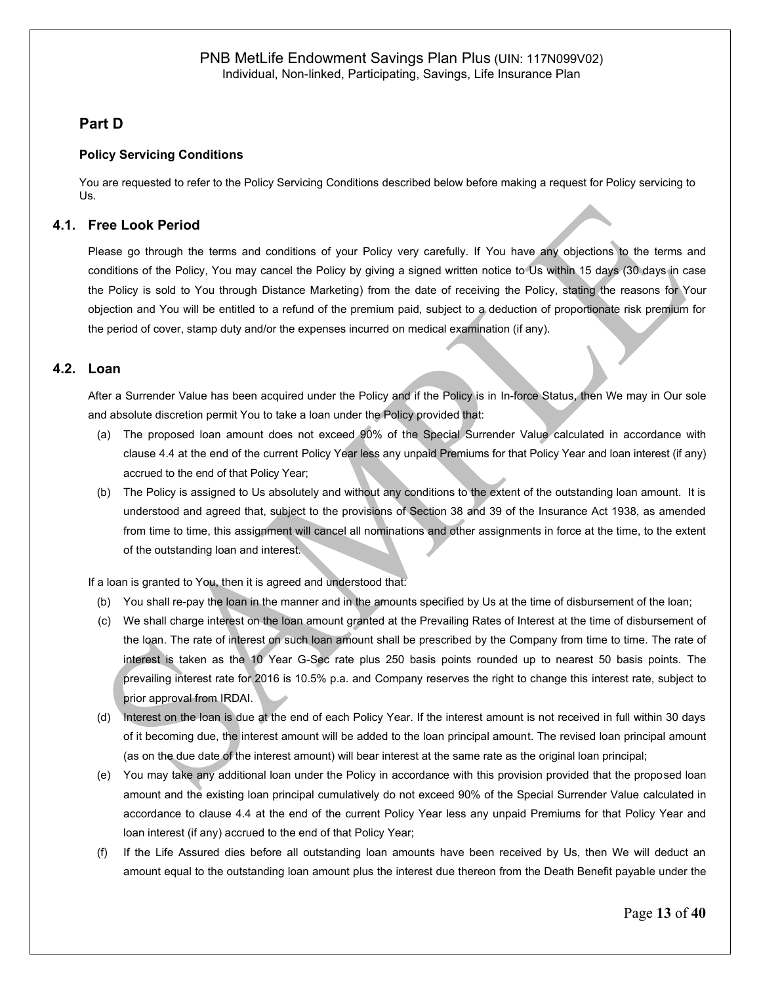### **4. Part D**

#### **Policy Servicing Conditions**

You are requested to refer to the Policy Servicing Conditions described below before making a request for Policy servicing to Us.

### **4.1. Free Look Period**

Please go through the terms and conditions of your Policy very carefully. If You have any objections to the terms and conditions of the Policy, You may cancel the Policy by giving a signed written notice to Us within 15 days (30 days in case the Policy is sold to You through Distance Marketing) from the date of receiving the Policy, stating the reasons for Your objection and You will be entitled to a refund of the premium paid, subject to a deduction of proportionate risk premium for the period of cover, stamp duty and/or the expenses incurred on medical examination (if any).

### **4.2. Loan**

After a Surrender Value has been acquired under the Policy and if the Policy is in In-force Status, then We may in Our sole and absolute discretion permit You to take a loan under the Policy provided that:

- (a) The proposed loan amount does not exceed 90% of the Special Surrender Value calculated in accordance with clause 4.4 at the end of the current Policy Year less any unpaid Premiums for that Policy Year and loan interest (if any) accrued to the end of that Policy Year;
- (b) The Policy is assigned to Us absolutely and without any conditions to the extent of the outstanding loan amount. It is understood and agreed that, subject to the provisions of Section 38 and 39 of the Insurance Act 1938, as amended from time to time, this assignment will cancel all nominations and other assignments in force at the time, to the extent of the outstanding loan and interest.

If a loan is granted to You, then it is agreed and understood that:

- (b) You shall re-pay the loan in the manner and in the amounts specified by Us at the time of disbursement of the loan;
- (c) We shall charge interest on the loan amount granted at the Prevailing Rates of Interest at the time of disbursement of the loan. The rate of interest on such loan amount shall be prescribed by the Company from time to time. The rate of interest is taken as the 10 Year G-Sec rate plus 250 basis points rounded up to nearest 50 basis points. The prevailing interest rate for 2016 is 10.5% p.a. and Company reserves the right to change this interest rate, subject to prior approval from IRDAI.
- (d) Interest on the loan is due at the end of each Policy Year. If the interest amount is not received in full within 30 days of it becoming due, the interest amount will be added to the loan principal amount. The revised loan principal amount (as on the due date of the interest amount) will bear interest at the same rate as the original loan principal;
- (e) You may take any additional loan under the Policy in accordance with this provision provided that the proposed loan amount and the existing loan principal cumulatively do not exceed 90% of the Special Surrender Value calculated in accordance to clause 4.4 at the end of the current Policy Year less any unpaid Premiums for that Policy Year and loan interest (if any) accrued to the end of that Policy Year;
- (f) If the Life Assured dies before all outstanding loan amounts have been received by Us, then We will deduct an amount equal to the outstanding loan amount plus the interest due thereon from the Death Benefit payable under the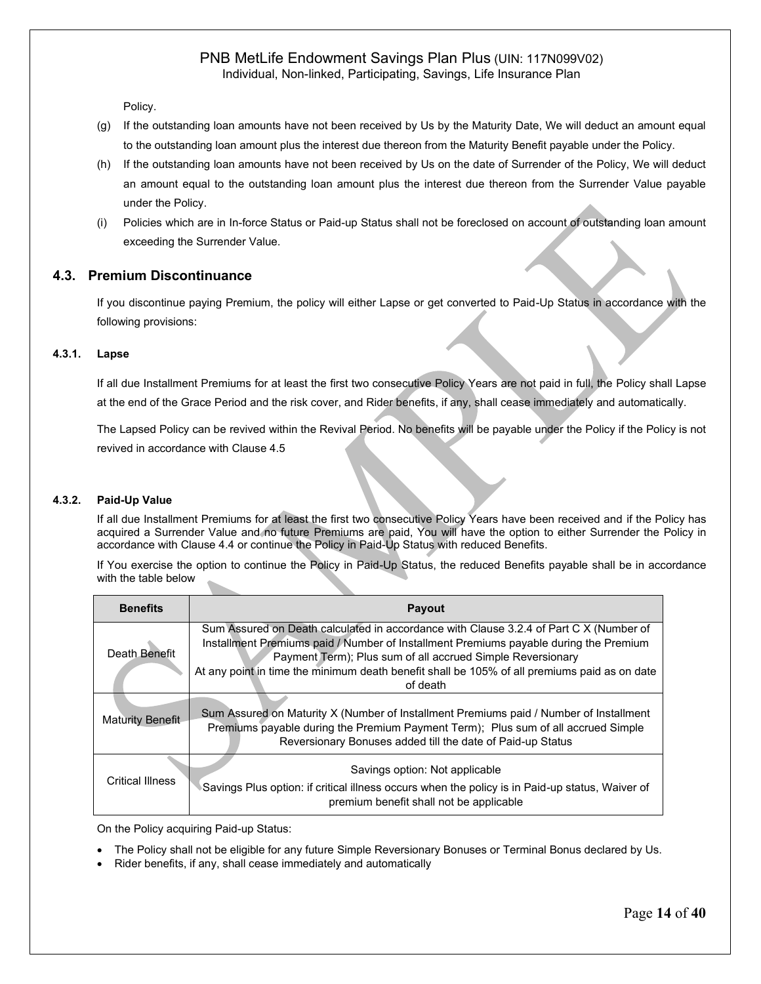Policy.

- (g) If the outstanding loan amounts have not been received by Us by the Maturity Date, We will deduct an amount equal to the outstanding loan amount plus the interest due thereon from the Maturity Benefit payable under the Policy.
- (h) If the outstanding loan amounts have not been received by Us on the date of Surrender of the Policy, We will deduct an amount equal to the outstanding loan amount plus the interest due thereon from the Surrender Value payable under the Policy.
- (i) Policies which are in In-force Status or Paid-up Status shall not be foreclosed on account of outstanding loan amount exceeding the Surrender Value.

### **4.3. Premium Discontinuance**

If you discontinue paying Premium, the policy will either Lapse or get converted to Paid-Up Status in accordance with the following provisions:

#### **4.3.1. Lapse**

If all due Installment Premiums for at least the first two consecutive Policy Years are not paid in full, the Policy shall Lapse at the end of the Grace Period and the risk cover, and Rider benefits, if any, shall cease immediately and automatically.

The Lapsed Policy can be revived within the Revival Period. No benefits will be payable under the Policy if the Policy is not revived in accordance with Clause 4.5

#### **4.3.2. Paid-Up Value**

If all due Installment Premiums for at least the first two consecutive Policy Years have been received and if the Policy has acquired a Surrender Value and no future Premiums are paid, You will have the option to either Surrender the Policy in accordance with Clause 4.4 or continue the Policy in Paid-Up Status with reduced Benefits.

If You exercise the option to continue the Policy in Paid-Up Status, the reduced Benefits payable shall be in accordance with the table below

| <b>Benefits</b>         | <b>Payout</b>                                                                                                                                                                                                                                                                                                                                             |
|-------------------------|-----------------------------------------------------------------------------------------------------------------------------------------------------------------------------------------------------------------------------------------------------------------------------------------------------------------------------------------------------------|
| Death Benefit           | Sum Assured on Death calculated in accordance with Clause 3.2.4 of Part C X (Number of<br>Installment Premiums paid / Number of Installment Premiums payable during the Premium<br>Payment Term); Plus sum of all accrued Simple Reversionary<br>At any point in time the minimum death benefit shall be 105% of all premiums paid as on date<br>of death |
| <b>Maturity Benefit</b> | Sum Assured on Maturity X (Number of Installment Premiums paid / Number of Installment<br>Premiums payable during the Premium Payment Term); Plus sum of all accrued Simple<br>Reversionary Bonuses added till the date of Paid-up Status                                                                                                                 |
| <b>Critical Illness</b> | Savings option: Not applicable<br>Savings Plus option: if critical illness occurs when the policy is in Paid-up status, Waiver of<br>premium benefit shall not be applicable                                                                                                                                                                              |

On the Policy acquiring Paid-up Status:

- The Policy shall not be eligible for any future Simple Reversionary Bonuses or Terminal Bonus declared by Us.
- Rider benefits, if any, shall cease immediately and automatically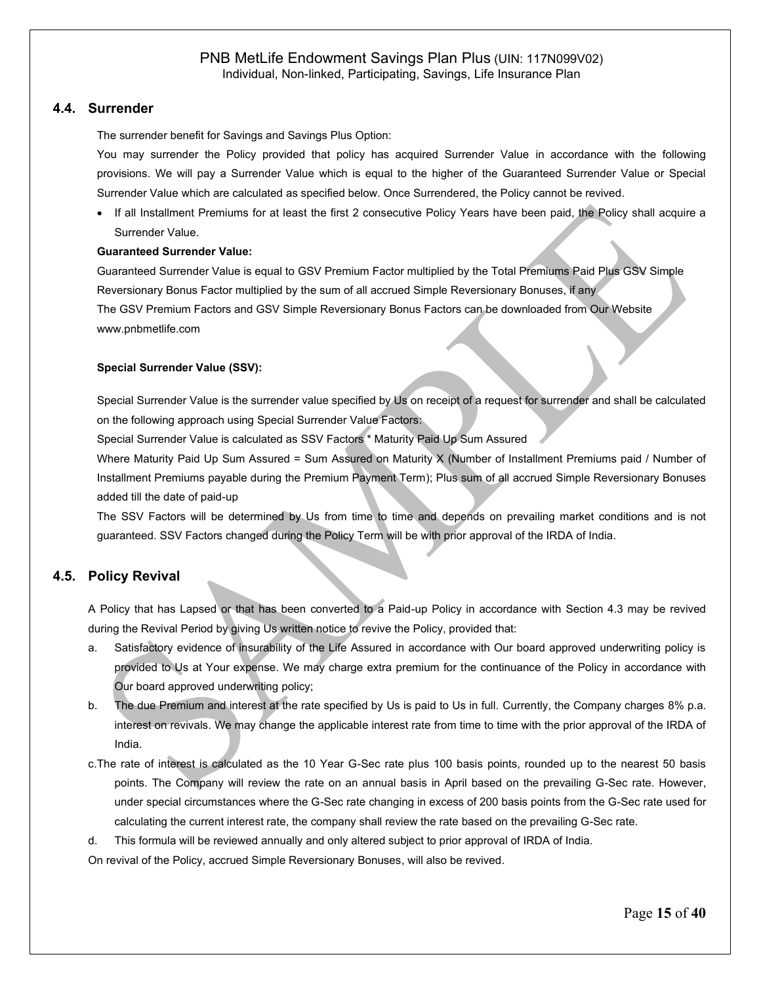#### **4.4. Surrender**

The surrender benefit for Savings and Savings Plus Option:

You may surrender the Policy provided that policy has acquired Surrender Value in accordance with the following provisions. We will pay a Surrender Value which is equal to the higher of the Guaranteed Surrender Value or Special Surrender Value which are calculated as specified below. Once Surrendered, the Policy cannot be revived.

• If all Installment Premiums for at least the first 2 consecutive Policy Years have been paid, the Policy shall acquire a Surrender Value.

#### **Guaranteed Surrender Value:**

Guaranteed Surrender Value is equal to GSV Premium Factor multiplied by the Total Premiums Paid Plus GSV Simple Reversionary Bonus Factor multiplied by the sum of all accrued Simple Reversionary Bonuses, if any The GSV Premium Factors and GSV Simple Reversionary Bonus Factors can be downloaded from Our Website [www.pnbmetlife.com](http://www.pnbmetlife.com/)

#### **Special Surrender Value (SSV):**

Special Surrender Value is the surrender value specified by Us on receipt of a request for surrender and shall be calculated on the following approach using Special Surrender Value Factors:

Special Surrender Value is calculated as SSV Factors \* Maturity Paid Up Sum Assured

Where Maturity Paid Up Sum Assured = Sum Assured on Maturity X (Number of Installment Premiums paid / Number of Installment Premiums payable during the Premium Payment Term); Plus sum of all accrued Simple Reversionary Bonuses added till the date of paid-up

The SSV Factors will be determined by Us from time to time and depends on prevailing market conditions and is not guaranteed. SSV Factors changed during the Policy Term will be with prior approval of the IRDA of India.

#### **4.5. Policy Revival**

A Policy that has Lapsed or that has been converted to a Paid-up Policy in accordance with Section 4.3 may be revived during the Revival Period by giving Us written notice to revive the Policy, provided that:

- a. Satisfactory evidence of insurability of the Life Assured in accordance with Our board approved underwriting policy is provided to Us at Your expense. We may charge extra premium for the continuance of the Policy in accordance with Our board approved underwriting policy;
- b. The due Premium and interest at the rate specified by Us is paid to Us in full. Currently, the Company charges 8% p.a. interest on revivals. We may change the applicable interest rate from time to time with the prior approval of the IRDA of India.
- c.The rate of interest is calculated as the 10 Year G-Sec rate plus 100 basis points, rounded up to the nearest 50 basis points. The Company will review the rate on an annual basis in April based on the prevailing G-Sec rate. However, under special circumstances where the G-Sec rate changing in excess of 200 basis points from the G-Sec rate used for calculating the current interest rate, the company shall review the rate based on the prevailing G-Sec rate.
- d. This formula will be reviewed annually and only altered subject to prior approval of IRDA of India.

On revival of the Policy, accrued Simple Reversionary Bonuses, will also be revived.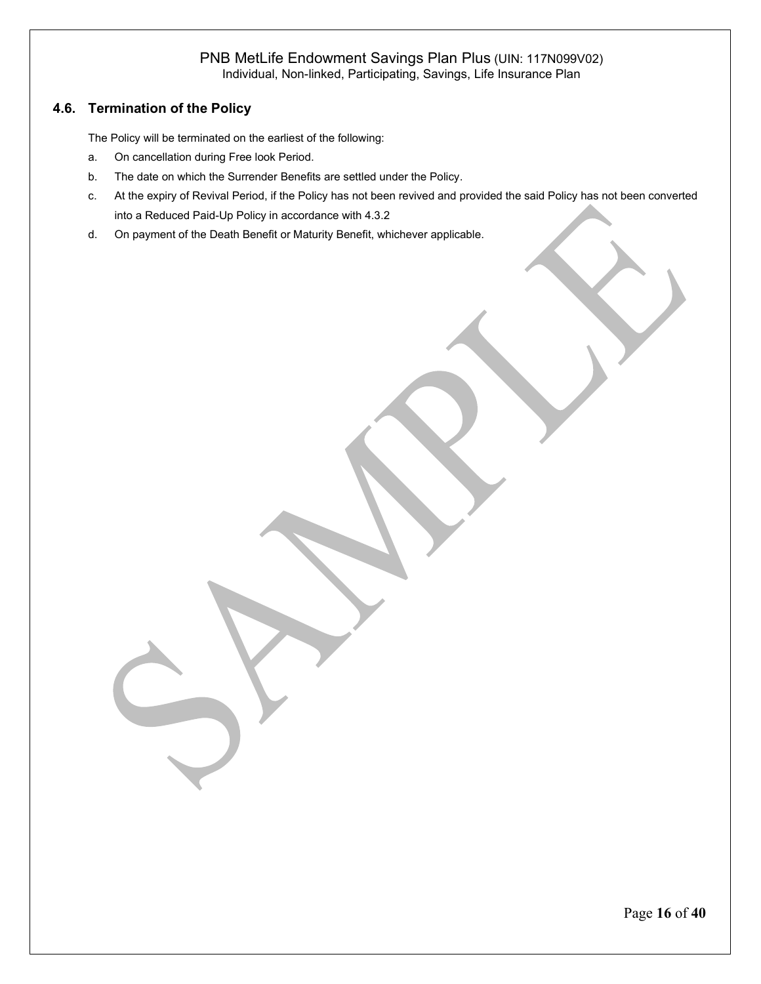## **4.6. Termination of the Policy**

The Policy will be terminated on the earliest of the following:

- a. On cancellation during Free look Period.
- b. The date on which the Surrender Benefits are settled under the Policy.
- c. At the expiry of Revival Period, if the Policy has not been revived and provided the said Policy has not been converted into a Reduced Paid-Up Policy in accordance with 4.3.2
- d. On payment of the Death Benefit or Maturity Benefit, whichever applicable.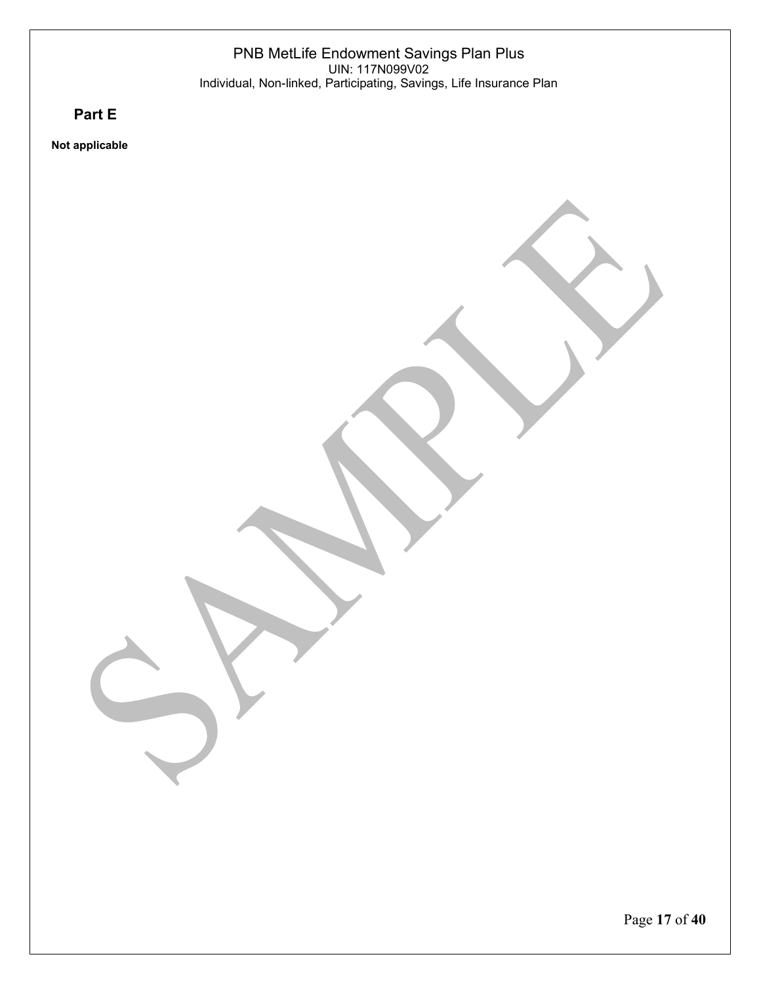**5. Part E**

**Not applicable**

Page **17** of **40**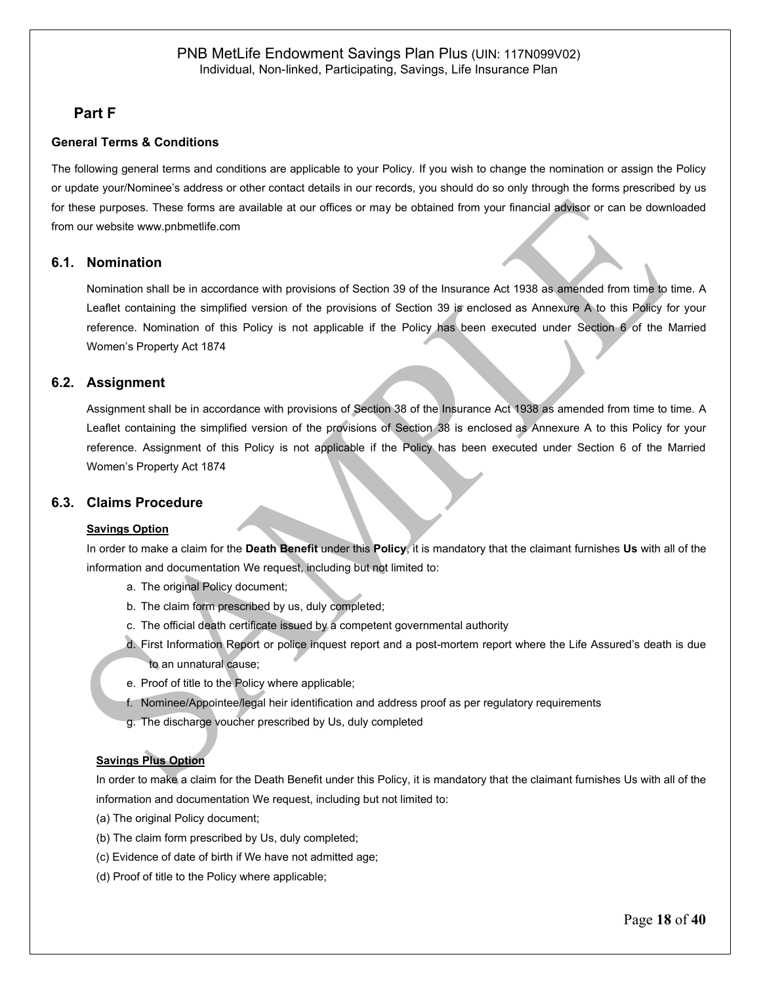## **6. Part F**

### **General Terms & Conditions**

The following general terms and conditions are applicable to your Policy. If you wish to change the nomination or assign the Policy or update your/Nominee's address or other contact details in our records, you should do so only through the forms prescribed by us for these purposes. These forms are available at our offices or may be obtained from your financial advisor or can be downloaded from our website [www.pnbmetlife.com](http://www.pnbmetlife.com/)

#### **6.1. Nomination**

Nomination shall be in accordance with provisions of Section 39 of the Insurance Act 1938 as amended from time to time. A Leaflet containing the simplified version of the provisions of Section 39 is enclosed as Annexure A to this Policy for your reference. Nomination of this Policy is not applicable if the Policy has been executed under Section 6 of the Married Women's Property Act 1874

### **6.2. Assignment**

Assignment shall be in accordance with provisions of Section 38 of the Insurance Act 1938 as amended from time to time. A Leaflet containing the simplified version of the provisions of Section 38 is enclosed as Annexure A to this Policy for your reference. Assignment of this Policy is not applicable if the Policy has been executed under Section 6 of the Married Women's Property Act 1874

### **6.3. Claims Procedure**

#### **Savings Option**

In order to make a claim for the **Death Benefit** under this **Policy**, it is mandatory that the claimant furnishes **Us** with all of the information and documentation We request, including but not limited to:

- a. The original Policy document;
- b. The claim form prescribed by us, duly completed;
- c. The official death certificate issued by a competent governmental authority
- d. First Information Report or police inquest report and a post-mortem report where the Life Assured's death is due to an unnatural cause;
- e. Proof of title to the Policy where applicable;
- f. Nominee/Appointee/legal heir identification and address proof as per regulatory requirements
- g. The discharge voucher prescribed by Us, duly completed

#### **Savings Plus Option**

In order to make a claim for the Death Benefit under this Policy, it is mandatory that the claimant furnishes Us with all of the information and documentation We request, including but not limited to:

- (a) The original Policy document;
- (b) The claim form prescribed by Us, duly completed;
- (c) Evidence of date of birth if We have not admitted age;
- (d) Proof of title to the Policy where applicable;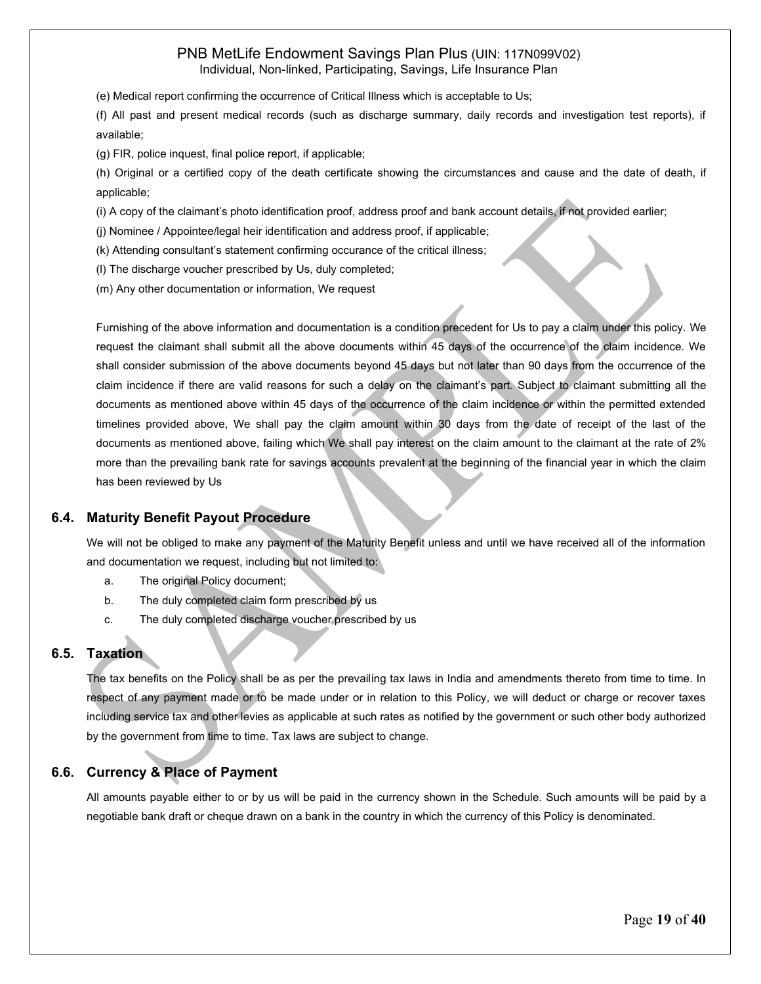(e) Medical report confirming the occurrence of Critical Illness which is acceptable to Us;

(f) All past and present medical records (such as discharge summary, daily records and investigation test reports), if available;

(g) FIR, police inquest, final police report, if applicable;

(h) Original or a certified copy of the death certificate showing the circumstances and cause and the date of death, if applicable;

(i) A copy of the claimant's photo identification proof, address proof and bank account details, if not provided earlier;

(j) Nominee / Appointee/legal heir identification and address proof, if applicable;

(k) Attending consultant's statement confirming occurance of the critical illness;

(l) The discharge voucher prescribed by Us, duly completed;

(m) Any other documentation or information, We request

Furnishing of the above information and documentation is a condition precedent for Us to pay a claim under this policy. We request the claimant shall submit all the above documents within 45 days of the occurrence of the claim incidence. We shall consider submission of the above documents beyond 45 days but not later than 90 days from the occurrence of the claim incidence if there are valid reasons for such a delay on the claimant's part. Subject to claimant submitting all the documents as mentioned above within 45 days of the occurrence of the claim incidence or within the permitted extended timelines provided above, We shall pay the claim amount within 30 days from the date of receipt of the last of the documents as mentioned above, failing which We shall pay interest on the claim amount to the claimant at the rate of 2% more than the prevailing bank rate for savings accounts prevalent at the beginning of the financial year in which the claim has been reviewed by Us

#### **6.4. Maturity Benefit Payout Procedure**

We will not be obliged to make any payment of the Maturity Benefit unless and until we have received all of the information and documentation we request, including but not limited to:

- a. The original Policy document;
- b. The duly completed claim form prescribed by us
- c. The duly completed discharge voucher prescribed by us

### **6.5. Taxation**

The tax benefits on the Policy shall be as per the prevailing tax laws in India and amendments thereto from time to time. In respect of any payment made or to be made under or in relation to this Policy, we will deduct or charge or recover taxes including service tax and other levies as applicable at such rates as notified by the government or such other body authorized by the government from time to time. Tax laws are subject to change.

### **6.6. Currency & Place of Payment**

All amounts payable either to or by us will be paid in the currency shown in the Schedule. Such amounts will be paid by a negotiable bank draft or cheque drawn on a bank in the country in which the currency of this Policy is denominated.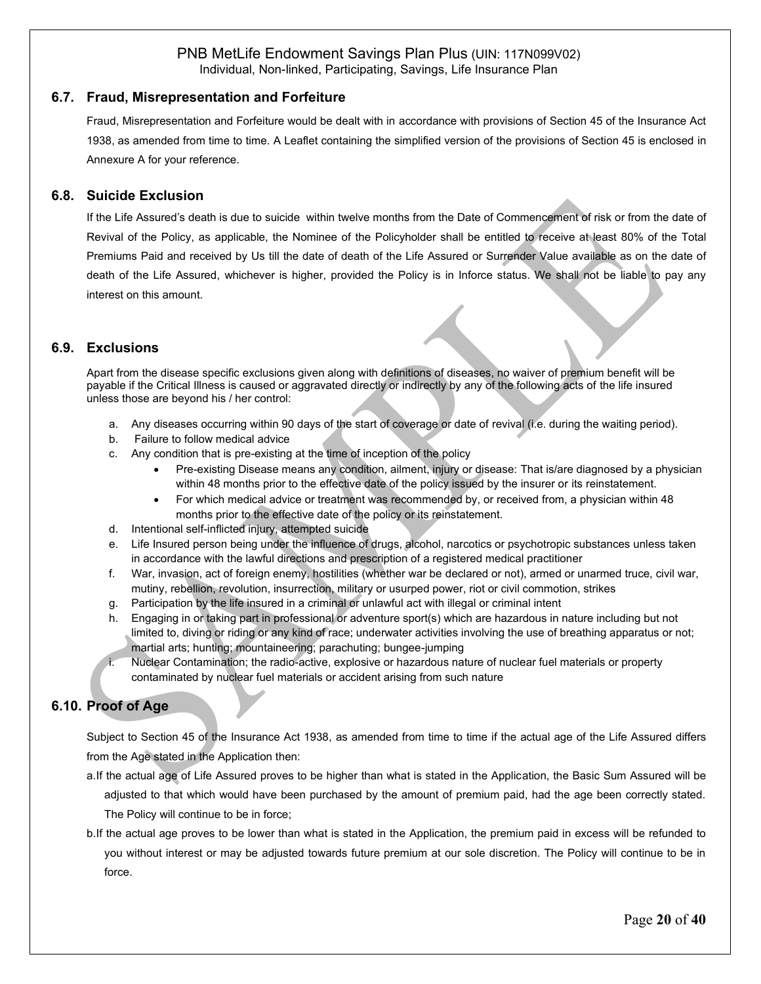### **6.7. Fraud, Misrepresentation and Forfeiture**

Fraud, Misrepresentation and Forfeiture would be dealt with in accordance with provisions of Section 45 of the Insurance Act 1938, as amended from time to time. A Leaflet containing the simplified version of the provisions of Section 45 is enclosed in Annexure A for your reference.

### **6.8. Suicide Exclusion**

If the Life Assured's death is due to suicide within twelve months from the Date of Commencement of risk or from the date of Revival of the Policy, as applicable, the Nominee of the Policyholder shall be entitled to receive at least 80% of the Total Premiums Paid and received by Us till the date of death of the Life Assured or Surrender Value available as on the date of death of the Life Assured, whichever is higher, provided the Policy is in Inforce status. We shall not be liable to pay any interest on this amount.

### **6.9. Exclusions**

Apart from the disease specific exclusions given along with definitions of diseases, no waiver of premium benefit will be payable if the Critical Illness is caused or aggravated directly or indirectly by any of the following acts of the life insured unless those are beyond his / her control:

- a. Any diseases occurring within 90 days of the start of coverage or date of revival (i.e. during the waiting period).
- b. Failure to follow medical advice
- c. Any condition that is pre-existing at the time of inception of the policy
	- Pre-existing Disease means any condition, ailment, injury or disease: That is/are diagnosed by a physician within 48 months prior to the effective date of the policy issued by the insurer or its reinstatement.
	- For which medical advice or treatment was recommended by, or received from, a physician within 48 months prior to the effective date of the policy or its reinstatement.
- d. Intentional self-inflicted injury, attempted suicide
- e. Life Insured person being under the influence of drugs, alcohol, narcotics or psychotropic substances unless taken in accordance with the lawful directions and prescription of a registered medical practitioner
- f. War, invasion, act of foreign enemy, hostilities (whether war be declared or not), armed or unarmed truce, civil war, mutiny, rebellion, revolution, insurrection, military or usurped power, riot or civil commotion, strikes
- g. Participation by the life insured in a criminal or unlawful act with illegal or criminal intent
- h. Engaging in or taking part in professional or adventure sport(s) which are hazardous in nature including but not limited to, diving or riding or any kind of race; underwater activities involving the use of breathing apparatus or not; martial arts; hunting; mountaineering; parachuting; bungee-jumping
- Nuclear Contamination; the radio-active, explosive or hazardous nature of nuclear fuel materials or property contaminated by nuclear fuel materials or accident arising from such nature

### **6.10. Proof of Age**

Subject to Section 45 of the Insurance Act 1938, as amended from time to time if the actual age of the Life Assured differs from the Age stated in the Application then:

- a.If the actual age of Life Assured proves to be higher than what is stated in the Application, the Basic Sum Assured will be adjusted to that which would have been purchased by the amount of premium paid, had the age been correctly stated. The Policy will continue to be in force;
- b.If the actual age proves to be lower than what is stated in the Application, the premium paid in excess will be refunded to you without interest or may be adjusted towards future premium at our sole discretion. The Policy will continue to be in force.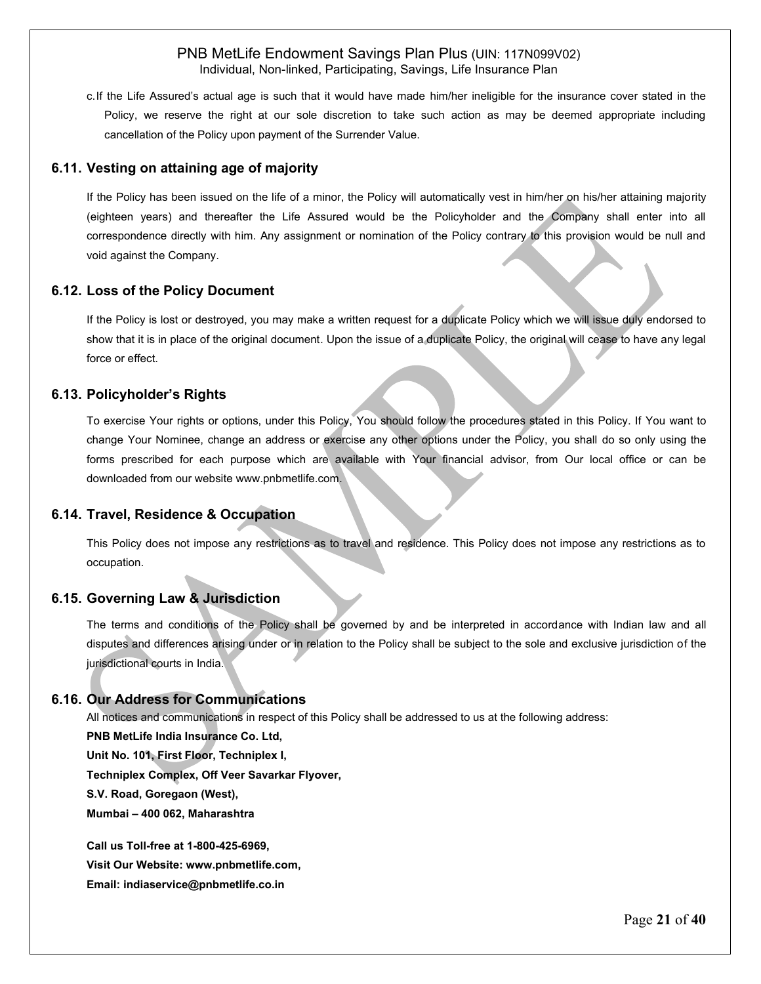c.If the Life Assured's actual age is such that it would have made him/her ineligible for the insurance cover stated in the Policy, we reserve the right at our sole discretion to take such action as may be deemed appropriate including cancellation of the Policy upon payment of the Surrender Value.

### **6.11. Vesting on attaining age of majority**

If the Policy has been issued on the life of a minor, the Policy will automatically vest in him/her on his/her attaining majority (eighteen years) and thereafter the Life Assured would be the Policyholder and the Company shall enter into all correspondence directly with him. Any assignment or nomination of the Policy contrary to this provision would be null and void against the Company.

#### **6.12. Loss of the Policy Document**

If the Policy is lost or destroyed, you may make a written request for a duplicate Policy which we will issue duly endorsed to show that it is in place of the original document. Upon the issue of a duplicate Policy, the original will cease to have any legal force or effect.

#### **6.13. Policyholder's Rights**

To exercise Your rights or options, under this Policy, You should follow the procedures stated in this Policy. If You want to change Your Nominee, change an address or exercise any other options under the Policy, you shall do so only using the forms prescribed for each purpose which are available with Your financial advisor, from Our local office or can be downloaded from our website [www.pnbmetlife.com.](http://www.pnbmetlife.com/)

#### **6.14. Travel, Residence & Occupation**

This Policy does not impose any restrictions as to travel and residence. This Policy does not impose any restrictions as to occupation.

### **6.15. Governing Law & Jurisdiction**

The terms and conditions of the Policy shall be governed by and be interpreted in accordance with Indian law and all disputes and differences arising under or in relation to the Policy shall be subject to the sole and exclusive jurisdiction of the jurisdictional courts in India.

#### **6.16. Our Address for Communications**

All notices and communications in respect of this Policy shall be addressed to us at the following address:

**PNB MetLife India Insurance Co. Ltd,**

**Unit No. 101, First Floor, Techniplex I,** 

**Techniplex Complex, Off Veer Savarkar Flyover,** 

**S.V. Road, Goregaon (West),**

**Mumbai – 400 062, Maharashtra**

**Call us Toll-free at 1-800-425-6969, Visit Our Website: www.pnbmetlife.com, Email: indiaservice@pnbmetlife.co.in**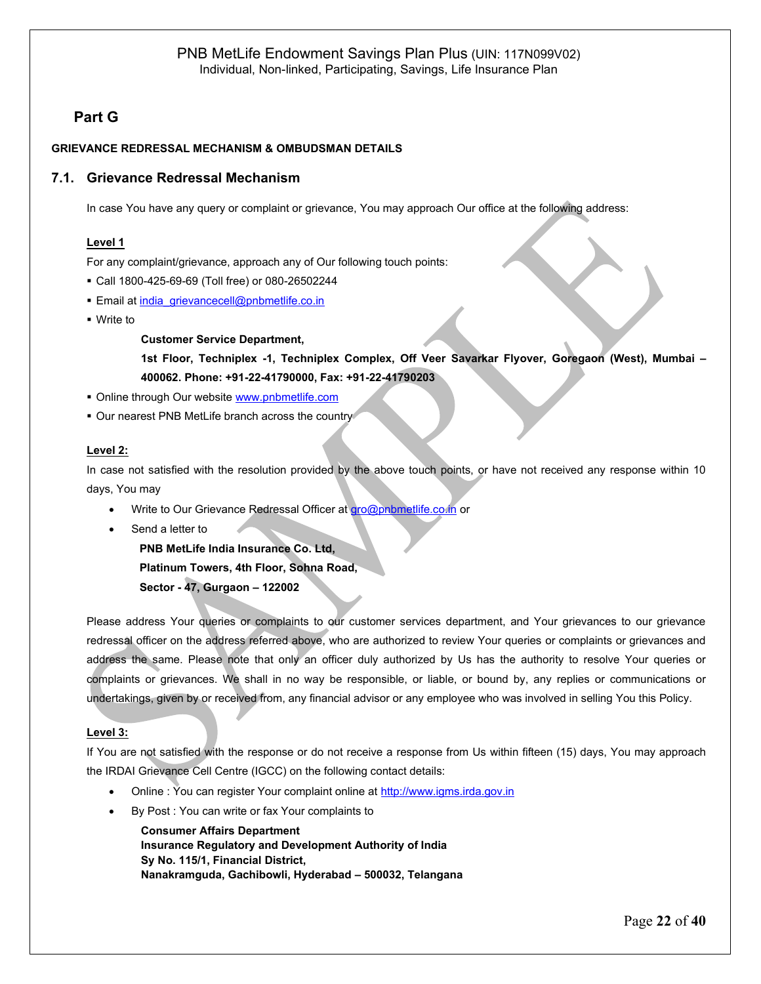## **7. Part G**

### **GRIEVANCE REDRESSAL MECHANISM & OMBUDSMAN DETAILS**

### **7.1. Grievance Redressal Mechanism**

In case You have any query or complaint or grievance, You may approach Our office at the following address:

#### **Level 1**

For any complaint/grievance, approach any of Our following touch points:

- Call 1800-425-69-69 (Toll free) or 080-26502244
- **Email a[t india\\_grievancecell@pnbmetlife.co.in](mailto:india_grievancecell@pnbmetlife.co.in)**
- Write to

#### **Customer Service Department,**

**1st Floor, Techniplex -1, Techniplex Complex, Off Veer Savarkar Flyover, Goregaon (West), Mumbai – 400062. Phone: +91-22-41790000, Fax: +91-22-41790203**

- Online through Our website [www.pnbmetlife.com](http://www.pnbmetlife.com/)
- **.** Our nearest PNB MetLife branch across the country

#### **Level 2:**

In case not satisfied with the resolution provided by the above touch points, or have not received any response within 10 days, You may

- Write to Our Grievance Redressal Officer at [gro@pnbmetlife.co.in](mailto:gro@pnbmetlife.co.in) or
- Send a letter to

**PNB MetLife India Insurance Co. Ltd,**

**Platinum Towers, 4th Floor, Sohna Road,** 

**Sector - 47, Gurgaon – 122002**

Please address Your queries or complaints to our customer services department, and Your grievances to our grievance redressal officer on the address referred above, who are authorized to review Your queries or complaints or grievances and address the same. Please note that only an officer duly authorized by Us has the authority to resolve Your queries or complaints or grievances. We shall in no way be responsible, or liable, or bound by, any replies or communications or undertakings, given by or received from, any financial advisor or any employee who was involved in selling You this Policy.

#### **Level 3:**

If You are not satisfied with the response or do not receive a response from Us within fifteen (15) days, You may approach the IRDAI Grievance Cell Centre (IGCC) on the following contact details:

- Online : You can register Your complaint online at [http://www.igms.irda.gov.in](http://www.igms.irda.gov.in/)
- By Post : You can write or fax Your complaints to

**Consumer Affairs Department Insurance Regulatory and Development Authority of India Sy No. 115/1, Financial District, Nanakramguda, Gachibowli, Hyderabad – 500032, Telangana**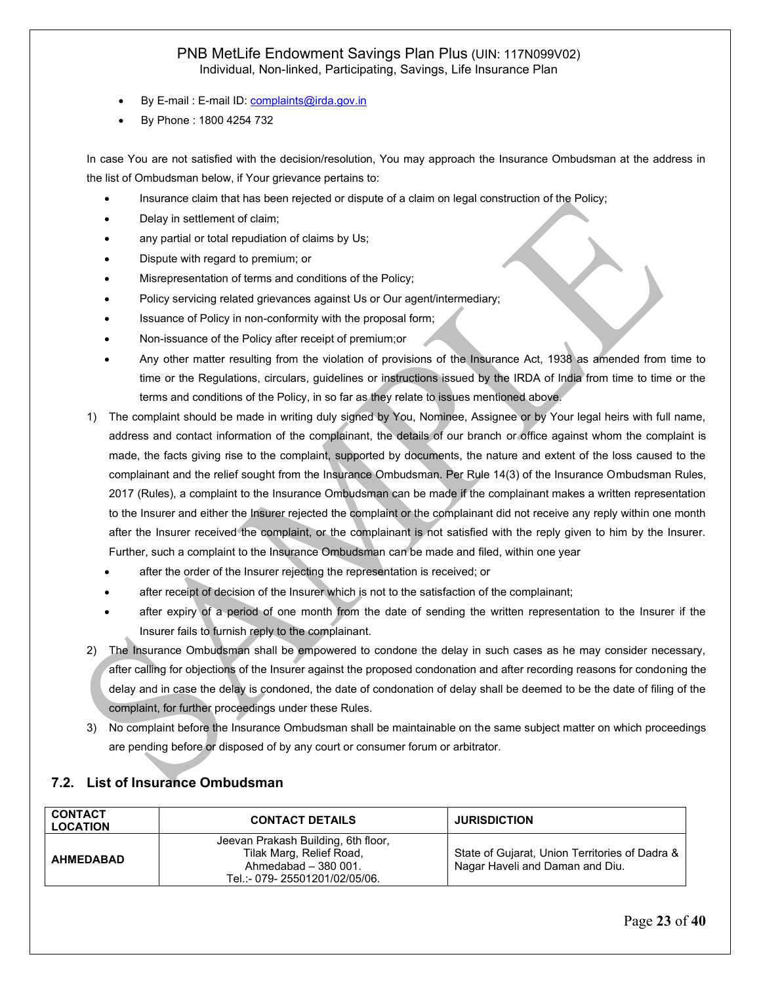- By E-mail : E-mail ID[: complaints@irda.gov.in](mailto:complaints@irda.gov.in)
- By Phone : 1800 4254 732

In case You are not satisfied with the decision/resolution, You may approach the Insurance Ombudsman at the address in the list of Ombudsman below, if Your grievance pertains to:

- Insurance claim that has been rejected or dispute of a claim on legal construction of the Policy;
- Delay in settlement of claim;
- any partial or total repudiation of claims by Us;
- Dispute with regard to premium; or
- Misrepresentation of terms and conditions of the Policy;
- Policy servicing related grievances against Us or Our agent/intermediary;
- Issuance of Policy in non-conformity with the proposal form;
- Non-issuance of the Policy after receipt of premium;or
- Any other matter resulting from the violation of provisions of the Insurance Act, 1938 as amended from time to time or the Regulations, circulars, guidelines or instructions issued by the IRDA of India from time to time or the terms and conditions of the Policy, in so far as they relate to issues mentioned above.
- 1) The complaint should be made in writing duly signed by You, Nominee, Assignee or by Your legal heirs with full name, address and contact information of the complainant, the details of our branch or office against whom the complaint is made, the facts giving rise to the complaint, supported by documents, the nature and extent of the loss caused to the complainant and the relief sought from the Insurance Ombudsman. Per Rule 14(3) of the Insurance Ombudsman Rules, 2017 (Rules), a complaint to the Insurance Ombudsman can be made if the complainant makes a written representation to the Insurer and either the Insurer rejected the complaint or the complainant did not receive any reply within one month after the Insurer received the complaint, or the complainant is not satisfied with the reply given to him by the Insurer. Further, such a complaint to the Insurance Ombudsman can be made and filed, within one year
	- after the order of the Insurer rejecting the representation is received; or
	- after receipt of decision of the Insurer which is not to the satisfaction of the complainant;
	- after expiry of a period of one month from the date of sending the written representation to the Insurer if the Insurer fails to furnish reply to the complainant.
- 2) The Insurance Ombudsman shall be empowered to condone the delay in such cases as he may consider necessary, after calling for objections of the Insurer against the proposed condonation and after recording reasons for condoning the delay and in case the delay is condoned, the date of condonation of delay shall be deemed to be the date of filing of the complaint, for further proceedings under these Rules.
- 3) No complaint before the Insurance Ombudsman shall be maintainable on the same subject matter on which proceedings are pending before or disposed of by any court or consumer forum or arbitrator.

| <b>CONTACT</b><br><b>LOCATION</b> | <b>CONTACT DETAILS</b>                                                                                                    | <b>JURISDICTION</b>                                                               |
|-----------------------------------|---------------------------------------------------------------------------------------------------------------------------|-----------------------------------------------------------------------------------|
| <b>AHMEDABAD</b>                  | Jeevan Prakash Building, 6th floor,<br>Tilak Marg, Relief Road,<br>Ahmedabad $-380001$ .<br>Tel.:- 079-25501201/02/05/06. | State of Gujarat, Union Territories of Dadra &<br>Nagar Haveli and Daman and Diu. |

### **7.2. List of Insurance Ombudsman**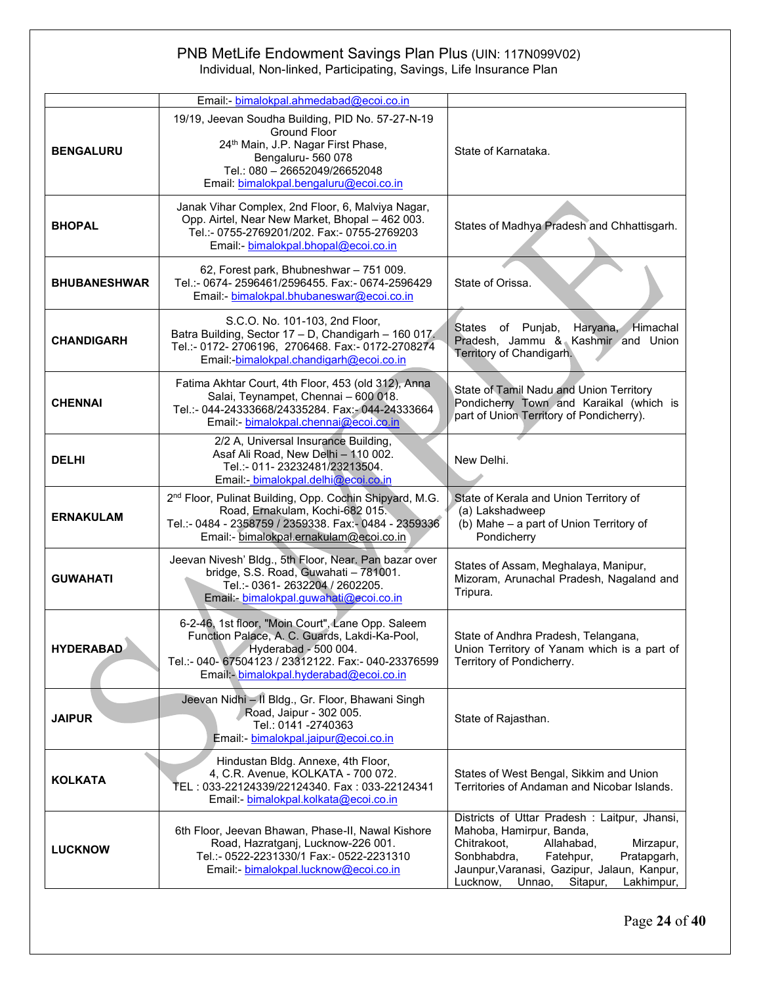|                     | Email: bimalokpal.ahmedabad@ecoi.co.in                                                                                                                                                                                      |                                                                                                                                                                                                                                                              |
|---------------------|-----------------------------------------------------------------------------------------------------------------------------------------------------------------------------------------------------------------------------|--------------------------------------------------------------------------------------------------------------------------------------------------------------------------------------------------------------------------------------------------------------|
| <b>BENGALURU</b>    | 19/19, Jeevan Soudha Building, PID No. 57-27-N-19<br><b>Ground Floor</b><br>24 <sup>th</sup> Main, J.P. Nagar First Phase,<br>Bengaluru-560 078<br>Tel.: 080 - 26652049/26652048<br>Email: bimalokpal.bengaluru@ecoi.co.in  | State of Karnataka.                                                                                                                                                                                                                                          |
| <b>BHOPAL</b>       | Janak Vihar Complex, 2nd Floor, 6, Malviya Nagar,<br>Opp. Airtel, Near New Market, Bhopal - 462 003.<br>Tel.:- 0755-2769201/202. Fax:- 0755-2769203<br>Email: bimalokpal.bhopal@ecoi.co.in                                  | States of Madhya Pradesh and Chhattisgarh.                                                                                                                                                                                                                   |
| <b>BHUBANESHWAR</b> | 62, Forest park, Bhubneshwar - 751 009.<br>Tel.:- 0674- 2596461/2596455. Fax:- 0674-2596429<br>Email:- bimalokpal.bhubaneswar@ecoi.co.in                                                                                    | State of Orissa.                                                                                                                                                                                                                                             |
| <b>CHANDIGARH</b>   | S.C.O. No. 101-103, 2nd Floor,<br>Batra Building, Sector 17 - D, Chandigarh - 160 017.<br>Tel.:- 0172-2706196, 2706468. Fax:- 0172-2708274<br>Email: bimalokpal.chandigarh@ecoi.co.in                                       | Haryana, Himachal<br><b>States</b><br>of Punjab,<br>Pradesh, Jammu & Kashmir and Union<br>Territory of Chandigarh.                                                                                                                                           |
| <b>CHENNAI</b>      | Fatima Akhtar Court, 4th Floor, 453 (old 312), Anna<br>Salai, Teynampet, Chennai - 600 018.<br>Tel.:- 044-24333668/24335284. Fax:- 044-24333664<br>Email: bimalokpal.chennai@ecoi.co.in                                     | State of Tamil Nadu and Union Territory<br>Pondicherry Town and Karaikal (which is<br>part of Union Territory of Pondicherry).                                                                                                                               |
| <b>DELHI</b>        | 2/2 A, Universal Insurance Building,<br>Asaf Ali Road, New Delhi - 110 002.<br>Tel.:- 011-23232481/23213504.<br>Email: bimalokpal.delhi@ecoi.co.in                                                                          | New Delhi.                                                                                                                                                                                                                                                   |
| <b>ERNAKULAM</b>    | 2 <sup>nd</sup> Floor, Pulinat Building, Opp. Cochin Shipyard, M.G.<br>Road, Ernakulam, Kochi-682 015.<br>Tel.:- 0484 - 2358759 / 2359338. Fax:- 0484 - 2359336<br>Email:- bimalokpal.ernakulam@ecoi.co.in                  | State of Kerala and Union Territory of<br>(a) Lakshadweep<br>(b) Mahe - a part of Union Territory of<br>Pondicherry                                                                                                                                          |
| <b>GUWAHATI</b>     | Jeevan Nivesh' Bldg., 5th Floor, Near. Pan bazar over<br>bridge, S.S. Road, Guwahati - 781001.<br>Tel.:- 0361- 2632204 / 2602205.<br>Email: bimalokpal.guwahati@ecoi.co.in                                                  | States of Assam, Meghalaya, Manipur,<br>Mizoram, Arunachal Pradesh, Nagaland and<br>Tripura.                                                                                                                                                                 |
| <b>HYDERABAD</b>    | 6-2-46, 1st floor, "Moin Court", Lane Opp. Saleem<br>Function Palace, A. C. Guards, Lakdi-Ka-Pool,<br>Hyderabad - 500 004.<br>Tel.:- 040- 67504123 / 23312122. Fax:- 040-23376599<br>Email: bimalokpal.hyderabad@ecoi.co.in | State of Andhra Pradesh, Telangana,<br>Union Territory of Yanam which is a part of<br>Territory of Pondicherry.                                                                                                                                              |
| <b>JAIPUR</b>       | Jeevan Nidhi - II Bldg., Gr. Floor, Bhawani Singh<br>Road, Jaipur - 302 005.<br>Tel.: 0141 -2740363<br>Email: bimalokpal.jaipur@ecoi.co.in                                                                                  | State of Rajasthan.                                                                                                                                                                                                                                          |
| <b>KOLKATA</b>      | Hindustan Bldg. Annexe, 4th Floor,<br>4, C.R. Avenue, KOLKATA - 700 072.<br>TEL: 033-22124339/22124340. Fax: 033-22124341<br>Email: bimalokpal.kolkata@ecoi.co.in                                                           | States of West Bengal, Sikkim and Union<br>Territories of Andaman and Nicobar Islands.                                                                                                                                                                       |
| <b>LUCKNOW</b>      | 6th Floor, Jeevan Bhawan, Phase-II, Nawal Kishore<br>Road, Hazratganj, Lucknow-226 001.<br>Tel.:- 0522-2231330/1 Fax:- 0522-2231310<br>Email: bimalokpal.lucknow@ecoi.co.in                                                 | Districts of Uttar Pradesh: Laitpur, Jhansi,<br>Mahoba, Hamirpur, Banda,<br>Chitrakoot,<br>Mirzapur,<br>Allahabad,<br>Sonbhabdra,<br>Fatehpur,<br>Pratapgarh,<br>Jaunpur, Varanasi, Gazipur, Jalaun, Kanpur,<br>Unnao,<br>Lucknow,<br>Sitapur,<br>Lakhimpur, |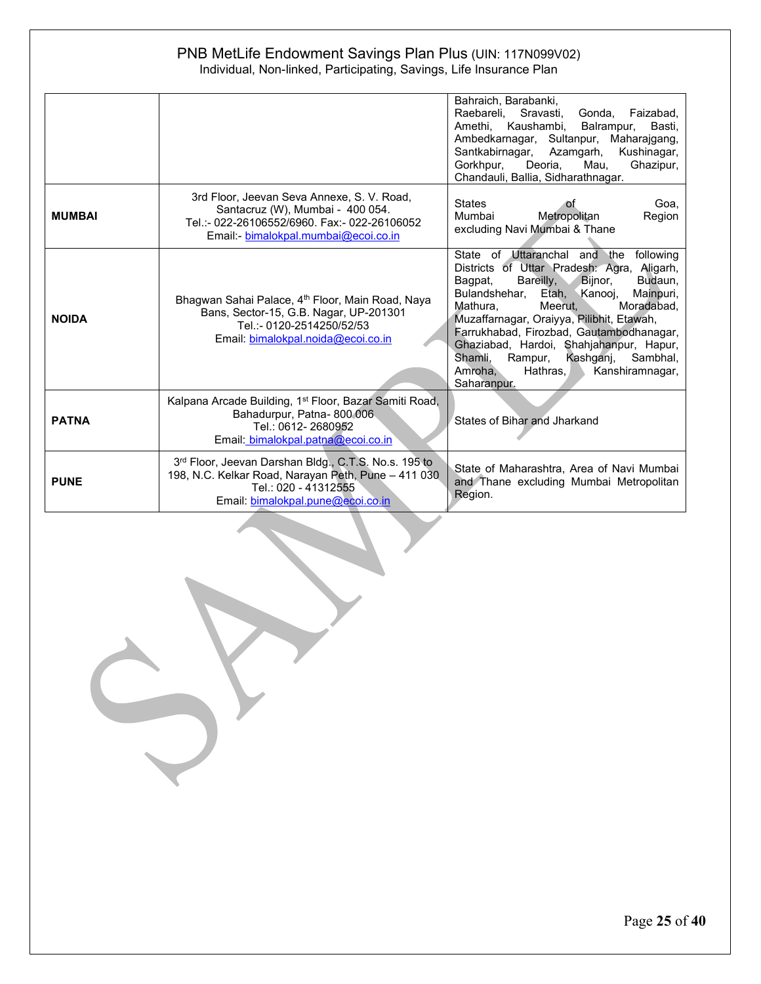|               |                                                                                                                                                                          | Bahraich, Barabanki,<br>Raebareli, Sravasti, Gonda, Faizabad,<br>Amethi, Kaushambi, Balrampur,<br>Basti.<br>Ambedkarnagar, Sultanpur, Maharajgang,<br>Santkabirnagar, Azamgarh, Kushinagar,<br>Deoria,<br>Gorkhpur.<br>Mau.<br>Ghazipur,<br>Chandauli, Ballia, Sidharathnagar.                                                                                                                                                                                     |
|---------------|--------------------------------------------------------------------------------------------------------------------------------------------------------------------------|--------------------------------------------------------------------------------------------------------------------------------------------------------------------------------------------------------------------------------------------------------------------------------------------------------------------------------------------------------------------------------------------------------------------------------------------------------------------|
| <b>MUMBAI</b> | 3rd Floor, Jeevan Seva Annexe, S. V. Road,<br>Santacruz (W), Mumbai - 400 054.<br>Tel.:- 022-26106552/6960, Fax:- 022-26106052<br>Email: bimalokpal.mumbai@ecoi.co.in    | <b>States</b><br>Goa.<br>οf<br>Metropolitan<br>Mumbai<br>Region<br>excluding Navi Mumbai & Thane                                                                                                                                                                                                                                                                                                                                                                   |
| <b>NOIDA</b>  | Bhagwan Sahai Palace, 4th Floor, Main Road, Naya<br>Bans, Sector-15, G.B. Nagar, UP-201301<br>Tel.:- 0120-2514250/52/53<br>Email: bimalokpal.noida@ecoi.co.in            | State of Uttaranchal and the following<br>Districts of Uttar Pradesh: Agra, Aligarh,<br>Bareilly, Bijnor,<br>Budaun,<br>Bagpat,<br>Bulandshehar,<br>Etah, Kanooj, Mainpuri,<br>Meerut.<br>Moradabad.<br>Mathura.<br>Muzaffarnagar, Oraiyya, Pilibhit, Etawah,<br>Farrukhabad, Firozbad, Gautambodhanagar,<br>Ghaziabad, Hardoi, Shahjahanpur, Hapur,<br>Shamli, Rampur, Kashganj, Sambhal,<br>Amroha,<br>Hathras, $\blacksquare$<br>Kanshiramnagar,<br>Saharanpur. |
| <b>PATNA</b>  | Kalpana Arcade Building, 1 <sup>st</sup> Floor, Bazar Samiti Road,<br>Bahadurpur, Patna-800 006<br>Tel.: 0612-2680952<br>Email: bimalokpal.patna@ecoi.co.in              | States of Bihar and Jharkand                                                                                                                                                                                                                                                                                                                                                                                                                                       |
| <b>PUNE</b>   | 3rd Floor, Jeevan Darshan Bldg., C.T.S. No.s. 195 to<br>198, N.C. Kelkar Road, Narayan Peth, Pune - 411 030<br>Tel.: 020 - 41312555<br>Email: bimalokpal.pune@ecoi.co.in | State of Maharashtra, Area of Navi Mumbai<br>and Thane excluding Mumbai Metropolitan<br>Region.                                                                                                                                                                                                                                                                                                                                                                    |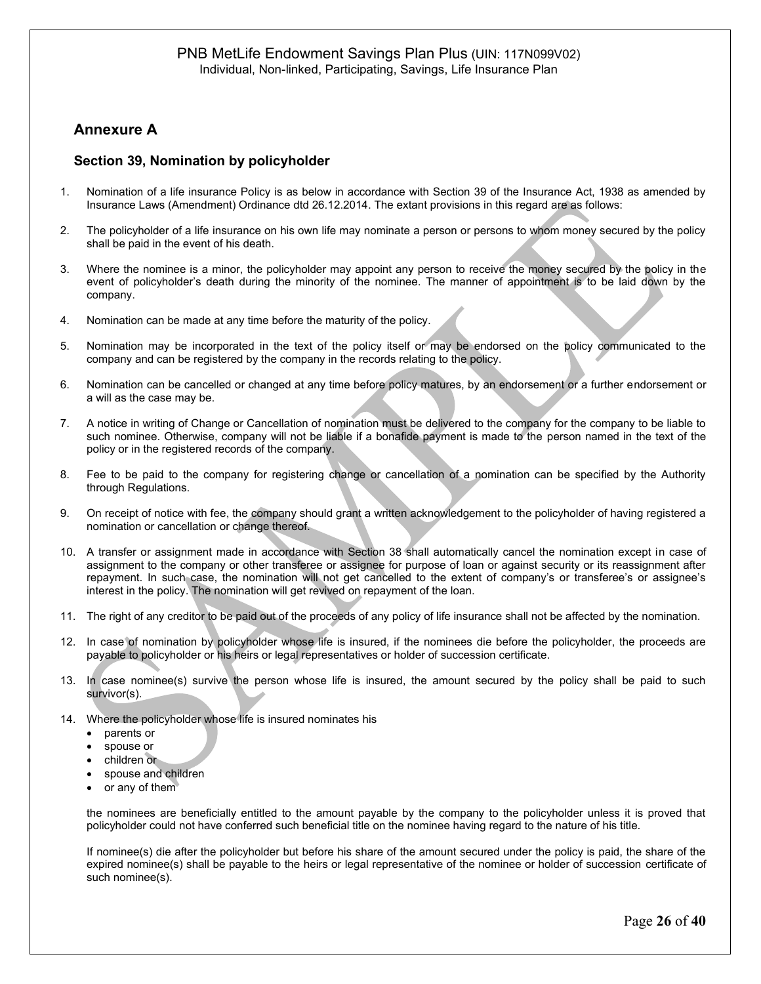## **Annexure A**

### **Section 39, Nomination by policyholder**

- 1. Nomination of a life insurance Policy is as below in accordance with Section 39 of the Insurance Act, 1938 as amended by Insurance Laws (Amendment) Ordinance dtd 26.12.2014. The extant provisions in this regard are as follows:
- 2. The policyholder of a life insurance on his own life may nominate a person or persons to whom money secured by the policy shall be paid in the event of his death.
- 3. Where the nominee is a minor, the policyholder may appoint any person to receive the money secured by the policy in the event of policyholder's death during the minority of the nominee. The manner of appointment is to be laid down by the company.
- 4. Nomination can be made at any time before the maturity of the policy.
- 5. Nomination may be incorporated in the text of the policy itself or may be endorsed on the policy communicated to the company and can be registered by the company in the records relating to the policy.
- 6. Nomination can be cancelled or changed at any time before policy matures, by an endorsement or a further endorsement or a will as the case may be.
- 7. A notice in writing of Change or Cancellation of nomination must be delivered to the company for the company to be liable to such nominee. Otherwise, company will not be liable if a bonafide payment is made to the person named in the text of the policy or in the registered records of the company.
- 8. Fee to be paid to the company for registering change or cancellation of a nomination can be specified by the Authority through Regulations.
- 9. On receipt of notice with fee, the company should grant a written acknowledgement to the policyholder of having registered a nomination or cancellation or change thereof.
- 10. A transfer or assignment made in accordance with Section 38 shall automatically cancel the nomination except in case of assignment to the company or other transferee or assignee for purpose of loan or against security or its reassignment after repayment. In such case, the nomination will not get cancelled to the extent of company's or transferee's or assignee's interest in the policy. The nomination will get revived on repayment of the loan.
- 11. The right of any creditor to be paid out of the proceeds of any policy of life insurance shall not be affected by the nomination.
- 12. In case of nomination by policyholder whose life is insured, if the nominees die before the policyholder, the proceeds are payable to policyholder or his heirs or legal representatives or holder of succession certificate.
- 13. In case nominee(s) survive the person whose life is insured, the amount secured by the policy shall be paid to such survivor(s).
- 14. Where the policyholder whose life is insured nominates his
	- parents or
		- spouse or
		- children or
		- spouse and children
		- or any of them

the nominees are beneficially entitled to the amount payable by the company to the policyholder unless it is proved that policyholder could not have conferred such beneficial title on the nominee having regard to the nature of his title.

If nominee(s) die after the policyholder but before his share of the amount secured under the policy is paid, the share of the expired nominee(s) shall be payable to the heirs or legal representative of the nominee or holder of succession certificate of such nominee(s).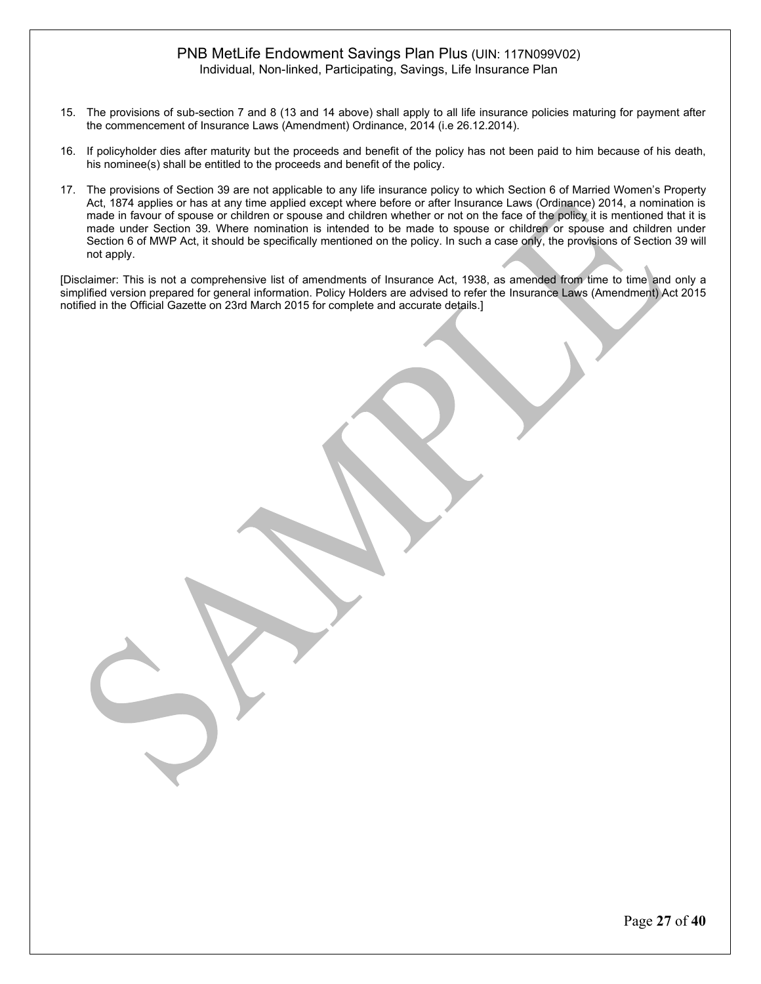- 15. The provisions of sub-section 7 and 8 (13 and 14 above) shall apply to all life insurance policies maturing for payment after the commencement of Insurance Laws (Amendment) Ordinance, 2014 (i.e 26.12.2014).
- 16. If policyholder dies after maturity but the proceeds and benefit of the policy has not been paid to him because of his death, his nominee(s) shall be entitled to the proceeds and benefit of the policy.
- 17. The provisions of Section 39 are not applicable to any life insurance policy to which Section 6 of Married Women's Property Act, 1874 applies or has at any time applied except where before or after Insurance Laws (Ordinance) 2014, a nomination is made in favour of spouse or children or spouse and children whether or not on the face of the policy it is mentioned that it is made under Section 39. Where nomination is intended to be made to spouse or children or spouse and children under Section 6 of MWP Act, it should be specifically mentioned on the policy. In such a case only, the provisions of Section 39 will not apply.

[Disclaimer: This is not a comprehensive list of amendments of Insurance Act, 1938, as amended from time to time and only a simplified version prepared for general information. Policy Holders are advised to refer the Insurance Laws (Amendment) Act 2015 notified in the Official Gazette on 23rd March 2015 for complete and accurate details.]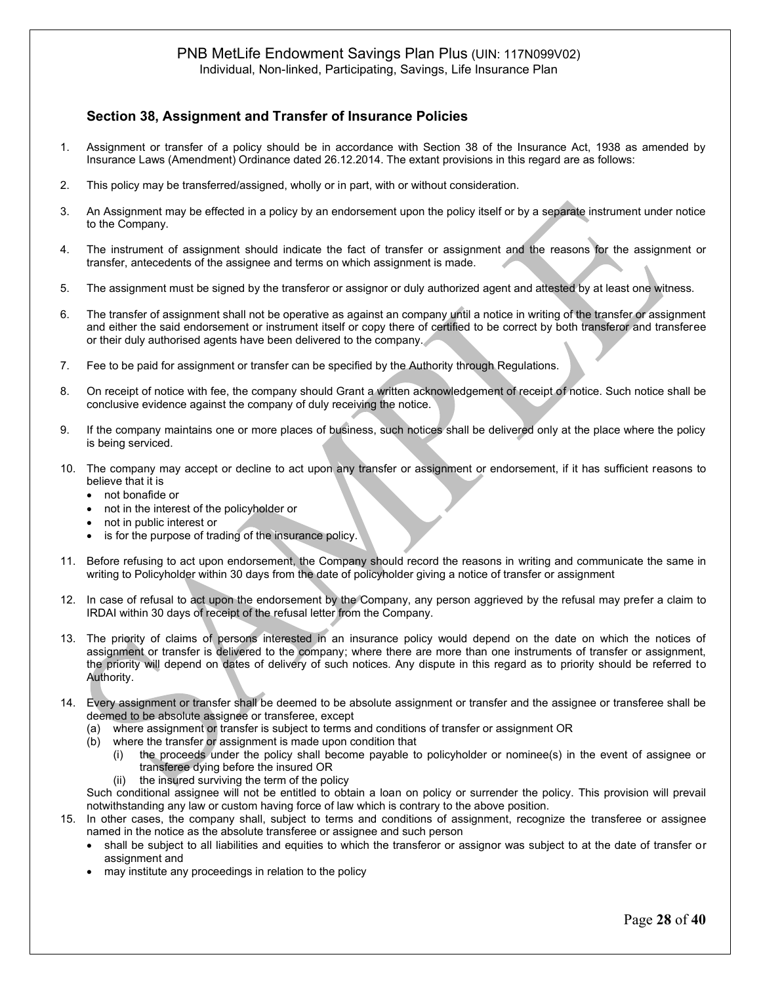# PNB MetLife Endowment Savings Plan Plus (UIN: 117N099V02)

Individual, Non-linked, Participating, Savings, Life Insurance Plan

## **Section 38, Assignment and Transfer of Insurance Policies**

- 1. Assignment or transfer of a policy should be in accordance with Section 38 of the Insurance Act, 1938 as amended by Insurance Laws (Amendment) Ordinance dated 26.12.2014. The extant provisions in this regard are as follows:
- 2. This policy may be transferred/assigned, wholly or in part, with or without consideration.
- 3. An Assignment may be effected in a policy by an endorsement upon the policy itself or by a separate instrument under notice to the Company.
- 4. The instrument of assignment should indicate the fact of transfer or assignment and the reasons for the assignment or transfer, antecedents of the assignee and terms on which assignment is made.
- 5. The assignment must be signed by the transferor or assignor or duly authorized agent and attested by at least one witness.
- 6. The transfer of assignment shall not be operative as against an company until a notice in writing of the transfer or assignment and either the said endorsement or instrument itself or copy there of certified to be correct by both transferor and transferee or their duly authorised agents have been delivered to the company.
- 7. Fee to be paid for assignment or transfer can be specified by the Authority through Regulations.
- 8. On receipt of notice with fee, the company should Grant a written acknowledgement of receipt of notice. Such notice shall be conclusive evidence against the company of duly receiving the notice.
- 9. If the company maintains one or more places of business, such notices shall be delivered only at the place where the policy is being serviced.
- 10. The company may accept or decline to act upon any transfer or assignment or endorsement, if it has sufficient reasons to believe that it is
	- not bonafide or
	- not in the interest of the policyholder or
	- not in public interest or
	- is for the purpose of trading of the insurance policy.
- 11. Before refusing to act upon endorsement, the Company should record the reasons in writing and communicate the same in writing to Policyholder within 30 days from the date of policyholder giving a notice of transfer or assignment
- 12. In case of refusal to act upon the endorsement by the Company, any person aggrieved by the refusal may prefer a claim to IRDAI within 30 days of receipt of the refusal letter from the Company.
- 13. The priority of claims of persons interested in an insurance policy would depend on the date on which the notices of assignment or transfer is delivered to the company; where there are more than one instruments of transfer or assignment, the priority will depend on dates of delivery of such notices. Any dispute in this regard as to priority should be referred to Authority.
- 14. Every assignment or transfer shall be deemed to be absolute assignment or transfer and the assignee or transferee shall be deemed to be absolute assignee or transferee, except
	- (a) where assignment or transfer is subject to terms and conditions of transfer or assignment OR
	- (b) where the transfer or assignment is made upon condition that
		- (i) the proceeds under the policy shall become payable to policyholder or nominee(s) in the event of assignee or transferee dying before the insured OR
		- (ii) the insured surviving the term of the policy

Such conditional assignee will not be entitled to obtain a loan on policy or surrender the policy. This provision will prevail notwithstanding any law or custom having force of law which is contrary to the above position.

- 15. In other cases, the company shall, subject to terms and conditions of assignment, recognize the transferee or assignee named in the notice as the absolute transferee or assignee and such person
	- shall be subject to all liabilities and equities to which the transferor or assignor was subject to at the date of transfer or assignment and
	- may institute any proceedings in relation to the policy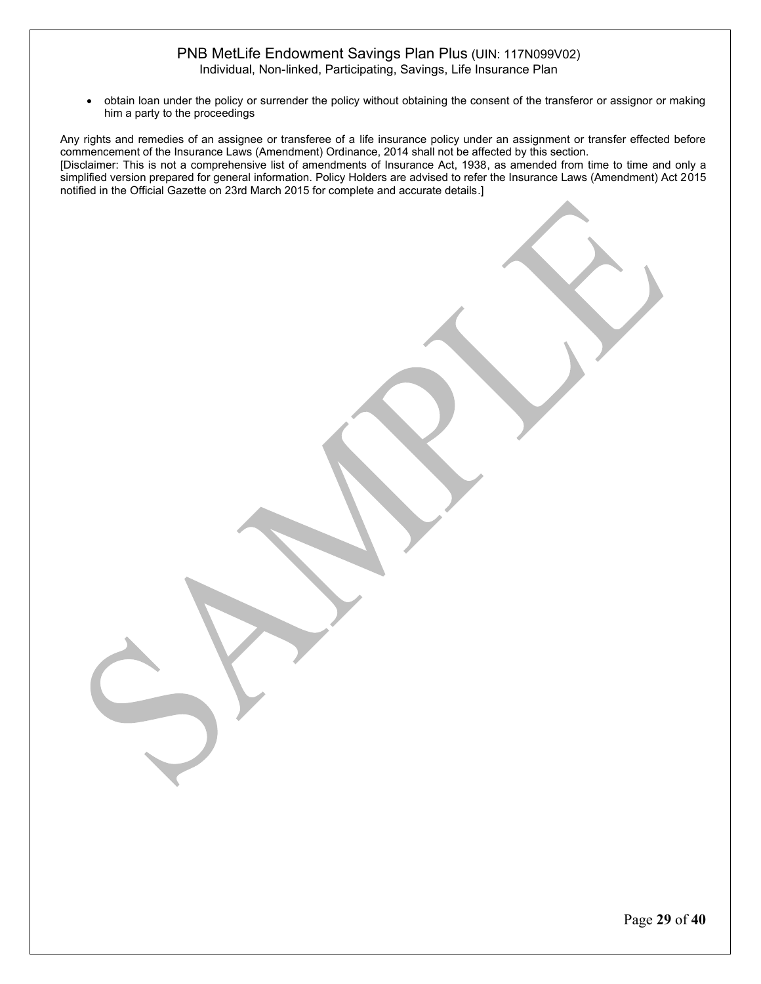• obtain loan under the policy or surrender the policy without obtaining the consent of the transferor or assignor or making him a party to the proceedings

Any rights and remedies of an assignee or transferee of a life insurance policy under an assignment or transfer effected before commencement of the Insurance Laws (Amendment) Ordinance, 2014 shall not be affected by this section. [Disclaimer: This is not a comprehensive list of amendments of Insurance Act, 1938, as amended from time to time and only a simplified version prepared for general information. Policy Holders are advised to refer the Insurance Laws (Amendment) Act 2015 notified in the Official Gazette on 23rd March 2015 for complete and accurate details.]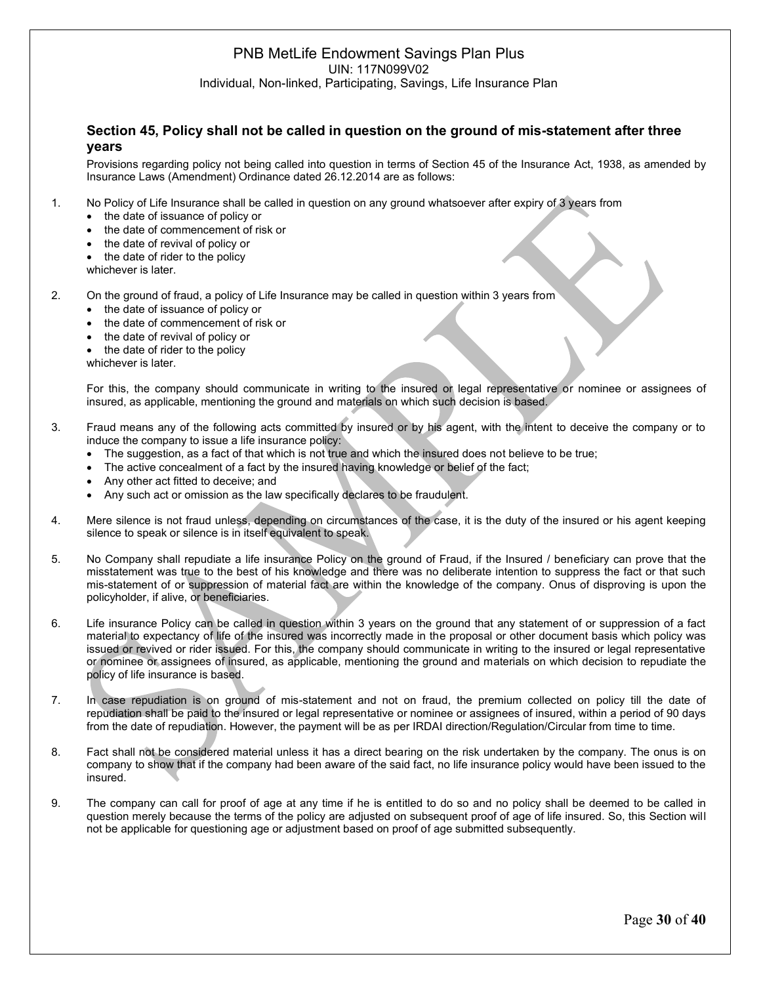### **Section 45, Policy shall not be called in question on the ground of mis-statement after three years**

Provisions regarding policy not being called into question in terms of Section 45 of the Insurance Act, 1938, as amended by Insurance Laws (Amendment) Ordinance dated 26.12.2014 are as follows:

1. No Policy of Life Insurance shall be called in question on any ground whatsoever after expiry of 3 years from

- the date of issuance of policy or
- the date of commencement of risk or
- the date of revival of policy or
- the date of rider to the policy
- whichever is later.
- 2. On the ground of fraud, a policy of Life Insurance may be called in question within 3 years from
	- the date of issuance of policy or
	- the date of commencement of risk or
	- the date of revival of policy or
	- the date of rider to the policy
	- whichever is later.

For this, the company should communicate in writing to the insured or legal representative or nominee or assignees of insured, as applicable, mentioning the ground and materials on which such decision is based.

- 3. Fraud means any of the following acts committed by insured or by his agent, with the intent to deceive the company or to induce the company to issue a life insurance policy:
	- The suggestion, as a fact of that which is not true and which the insured does not believe to be true;
	- The active concealment of a fact by the insured having knowledge or belief of the fact;
	- Any other act fitted to deceive; and
	- Any such act or omission as the law specifically declares to be fraudulent.
- 4. Mere silence is not fraud unless, depending on circumstances of the case, it is the duty of the insured or his agent keeping silence to speak or silence is in itself equivalent to speak.
- 5. No Company shall repudiate a life insurance Policy on the ground of Fraud, if the Insured / beneficiary can prove that the misstatement was true to the best of his knowledge and there was no deliberate intention to suppress the fact or that such mis-statement of or suppression of material fact are within the knowledge of the company. Onus of disproving is upon the policyholder, if alive, or beneficiaries.
- 6. Life insurance Policy can be called in question within 3 years on the ground that any statement of or suppression of a fact material to expectancy of life of the insured was incorrectly made in the proposal or other document basis which policy was issued or revived or rider issued. For this, the company should communicate in writing to the insured or legal representative or nominee or assignees of insured, as applicable, mentioning the ground and materials on which decision to repudiate the policy of life insurance is based.
- 7. In case repudiation is on ground of mis-statement and not on fraud, the premium collected on policy till the date of repudiation shall be paid to the insured or legal representative or nominee or assignees of insured, within a period of 90 days from the date of repudiation. However, the payment will be as per IRDAI direction/Regulation/Circular from time to time.
- 8. Fact shall not be considered material unless it has a direct bearing on the risk undertaken by the company. The onus is on company to show that if the company had been aware of the said fact, no life insurance policy would have been issued to the insured.
- 9. The company can call for proof of age at any time if he is entitled to do so and no policy shall be deemed to be called in question merely because the terms of the policy are adjusted on subsequent proof of age of life insured. So, this Section will not be applicable for questioning age or adjustment based on proof of age submitted subsequently.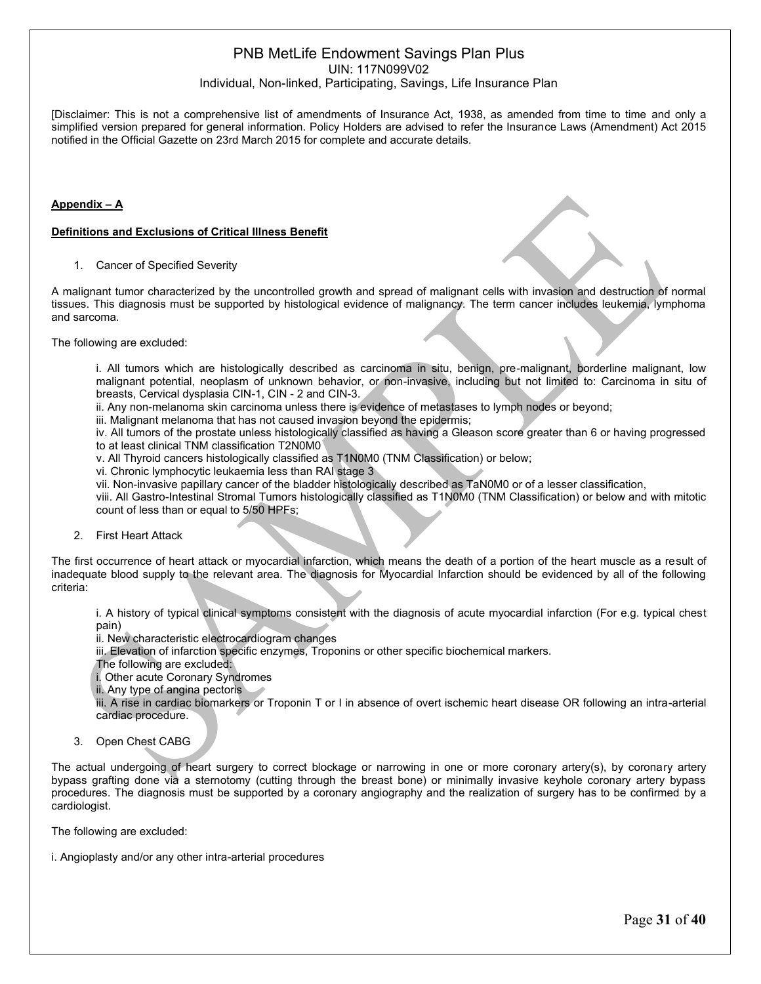### PNB MetLife Endowment Savings Plan Plus UIN: 117N099V02

#### Individual, Non-linked, Participating, Savings, Life Insurance Plan

[Disclaimer: This is not a comprehensive list of amendments of Insurance Act, 1938, as amended from time to time and only a simplified version prepared for general information. Policy Holders are advised to refer the Insurance Laws (Amendment) Act 2015 notified in the Official Gazette on 23rd March 2015 for complete and accurate details.

#### **Appendix – A**

#### **Definitions and Exclusions of Critical Illness Benefit**

1. Cancer of Specified Severity

A malignant tumor characterized by the uncontrolled growth and spread of malignant cells with invasion and destruction of normal tissues. This diagnosis must be supported by histological evidence of malignancy. The term cancer includes leukemia, lymphoma and sarcoma.

The following are excluded:

i. All tumors which are histologically described as carcinoma in situ, benign, pre-malignant, borderline malignant, low malignant potential, neoplasm of unknown behavior, or non-invasive, including but not limited to: Carcinoma in situ of breasts, Cervical dysplasia CIN-1, CIN - 2 and CIN-3.

ii. Any non-melanoma skin carcinoma unless there is evidence of metastases to lymph nodes or beyond;

iii. Malignant melanoma that has not caused invasion beyond the epidermis;

iv. All tumors of the prostate unless histologically classified as having a Gleason score greater than 6 or having progressed to at least clinical TNM classification T2N0M0

v. All Thyroid cancers histologically classified as T1N0M0 (TNM Classification) or below;

vi. Chronic lymphocytic leukaemia less than RAI stage 3

vii. Non-invasive papillary cancer of the bladder histologically described as TaN0M0 or of a lesser classification,

viii. All Gastro-Intestinal Stromal Tumors histologically classified as T1N0M0 (TNM Classification) or below and with mitotic count of less than or equal to 5/50 HPFs;

2. First Heart Attack

The first occurrence of heart attack or myocardial infarction, which means the death of a portion of the heart muscle as a result of inadequate blood supply to the relevant area. The diagnosis for Myocardial Infarction should be evidenced by all of the following criteria:

i. A history of typical clinical symptoms consistent with the diagnosis of acute myocardial infarction (For e.g. typical chest pain)

ii. New characteristic electrocardiogram changes

iii. Elevation of infarction specific enzymes, Troponins or other specific biochemical markers.

The following are excluded:

i. Other acute Coronary Syndromes

ii. Any type of angina pectoris

iii. A rise in cardiac biomarkers or Troponin T or I in absence of overt ischemic heart disease OR following an intra-arterial cardiac procedure.

3. Open Chest CABG

The actual undergoing of heart surgery to correct blockage or narrowing in one or more coronary artery(s), by coronary artery bypass grafting done via a sternotomy (cutting through the breast bone) or minimally invasive keyhole coronary artery bypass procedures. The diagnosis must be supported by a coronary angiography and the realization of surgery has to be confirmed by a cardiologist.

The following are excluded:

i. Angioplasty and/or any other intra-arterial procedures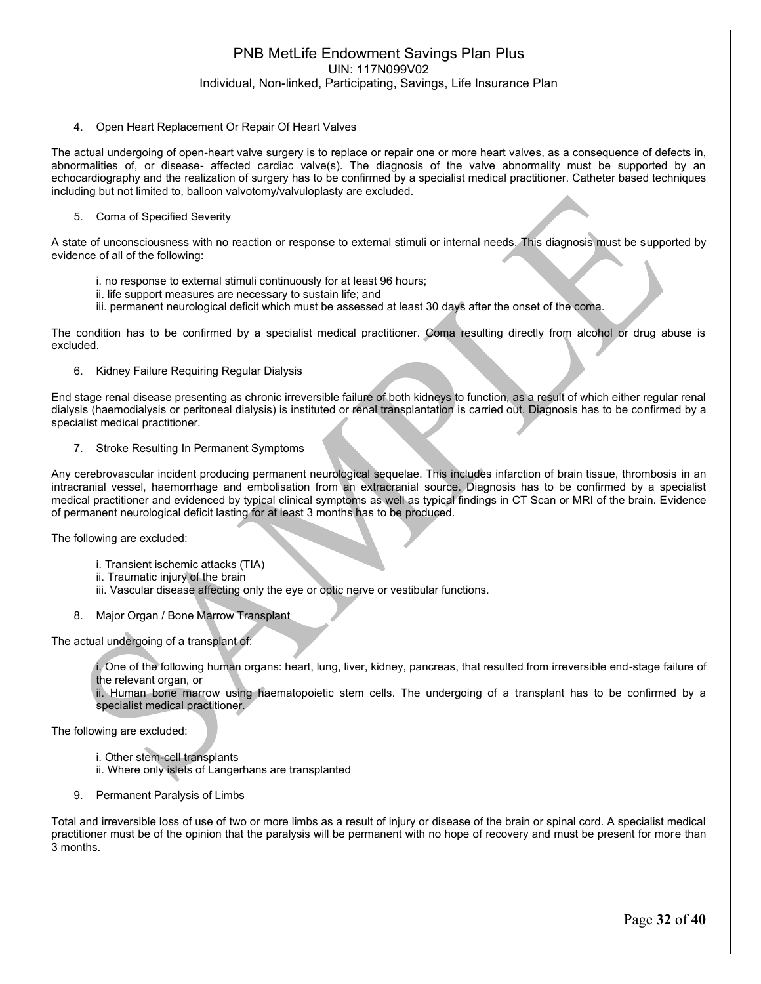#### 4. Open Heart Replacement Or Repair Of Heart Valves

The actual undergoing of open-heart valve surgery is to replace or repair one or more heart valves, as a consequence of defects in, abnormalities of, or disease- affected cardiac valve(s). The diagnosis of the valve abnormality must be supported by an echocardiography and the realization of surgery has to be confirmed by a specialist medical practitioner. Catheter based techniques including but not limited to, balloon valvotomy/valvuloplasty are excluded.

#### 5. Coma of Specified Severity

A state of unconsciousness with no reaction or response to external stimuli or internal needs. This diagnosis must be supported by evidence of all of the following:

- i. no response to external stimuli continuously for at least 96 hours;
- ii. life support measures are necessary to sustain life; and
- iii. permanent neurological deficit which must be assessed at least 30 days after the onset of the coma.

The condition has to be confirmed by a specialist medical practitioner. Coma resulting directly from alcohol or drug abuse is excluded.

6. Kidney Failure Requiring Regular Dialysis

End stage renal disease presenting as chronic irreversible failure of both kidneys to function, as a result of which either regular renal dialysis (haemodialysis or peritoneal dialysis) is instituted or renal transplantation is carried out. Diagnosis has to be confirmed by a specialist medical practitioner.

7. Stroke Resulting In Permanent Symptoms

Any cerebrovascular incident producing permanent neurological sequelae. This includes infarction of brain tissue, thrombosis in an intracranial vessel, haemorrhage and embolisation from an extracranial source. Diagnosis has to be confirmed by a specialist medical practitioner and evidenced by typical clinical symptoms as well as typical findings in CT Scan or MRI of the brain. Evidence of permanent neurological deficit lasting for at least 3 months has to be produced.

The following are excluded:

- i. Transient ischemic attacks (TIA)
- ii. Traumatic injury of the brain
- iii. Vascular disease affecting only the eye or optic nerve or vestibular functions.
- 8. Major Organ / Bone Marrow Transplant

The actual undergoing of a transplant of:

i. One of the following human organs: heart, lung, liver, kidney, pancreas, that resulted from irreversible end-stage failure of the relevant organ, or

ii. Human bone marrow using haematopoietic stem cells. The undergoing of a transplant has to be confirmed by a specialist medical practitioner.

The following are excluded:

- i. Other stem-cell transplants
- ii. Where only islets of Langerhans are transplanted
- 9. Permanent Paralysis of Limbs

Total and irreversible loss of use of two or more limbs as a result of injury or disease of the brain or spinal cord. A specialist medical practitioner must be of the opinion that the paralysis will be permanent with no hope of recovery and must be present for more than 3 months.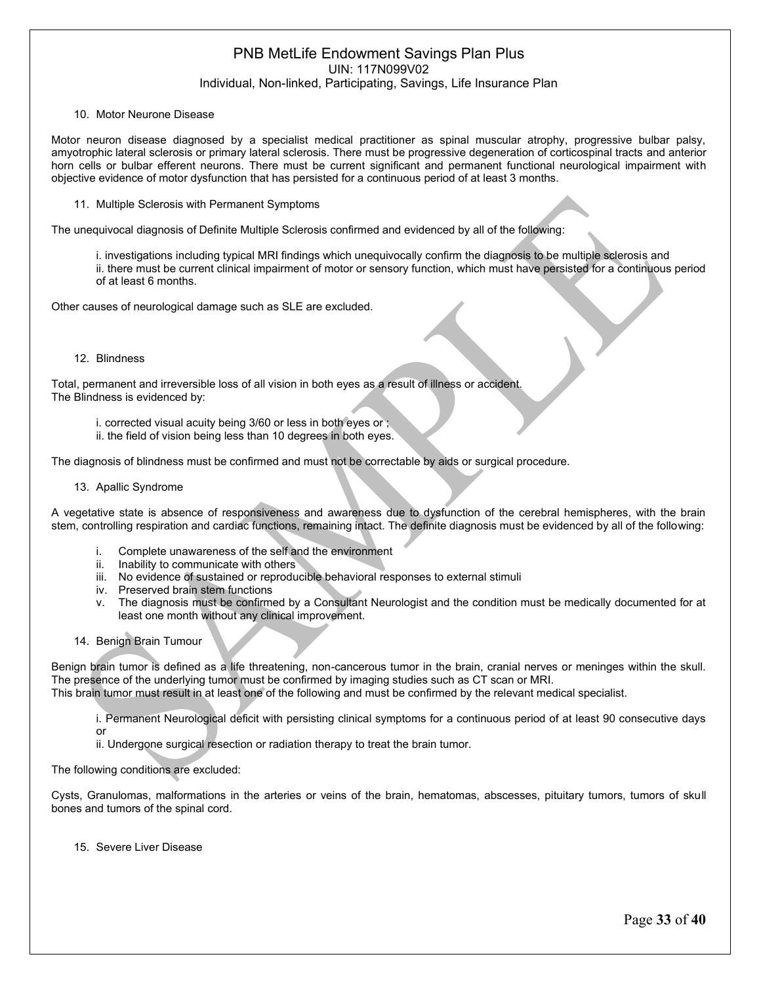#### 10. Motor Neurone Disease

Motor neuron disease diagnosed by a specialist medical practitioner as spinal muscular atrophy, progressive bulbar palsy, amyotrophic lateral sclerosis or primary lateral sclerosis. There must be progressive degeneration of corticospinal tracts and anterior horn cells or bulbar efferent neurons. There must be current significant and permanent functional neurological impairment with objective evidence of motor dysfunction that has persisted for a continuous period of at least 3 months.

11. Multiple Sclerosis with Permanent Symptoms

The unequivocal diagnosis of Definite Multiple Sclerosis confirmed and evidenced by all of the following:

i. investigations including typical MRI findings which unequivocally confirm the diagnosis to be multiple sclerosis and ii. there must be current clinical impairment of motor or sensory function, which must have persisted for a continuous period of at least 6 months.

Other causes of neurological damage such as SLE are excluded.

#### 12. Blindness

Total, permanent and irreversible loss of all vision in both eyes as a result of illness or accident. The Blindness is evidenced by:

- i. corrected visual acuity being 3/60 or less in both eyes or ;
- ii. the field of vision being less than 10 degrees in both eyes.

The diagnosis of blindness must be confirmed and must not be correctable by aids or surgical procedure.

#### 13. Apallic Syndrome

A vegetative state is absence of responsiveness and awareness due to dysfunction of the cerebral hemispheres, with the brain stem, controlling respiration and cardiac functions, remaining intact. The definite diagnosis must be evidenced by all of the following:

- i. Complete unawareness of the self and the environment
- ii. Inability to communicate with others
- iii. No evidence of sustained or reproducible behavioral responses to external stimuli
- iv. Preserved brain stem functions
- v. The diagnosis must be confirmed by a Consultant Neurologist and the condition must be medically documented for at least one month without any clinical improvement.
- 14. Benign Brain Tumour

Benign brain tumor is defined as a life threatening, non-cancerous tumor in the brain, cranial nerves or meninges within the skull. The presence of the underlying tumor must be confirmed by imaging studies such as CT scan or MRI.

This brain tumor must result in at least one of the following and must be confirmed by the relevant medical specialist.

i. Permanent Neurological deficit with persisting clinical symptoms for a continuous period of at least 90 consecutive days or

ii. Undergone surgical resection or radiation therapy to treat the brain tumor.

#### The following conditions are excluded:

Cysts, Granulomas, malformations in the arteries or veins of the brain, hematomas, abscesses, pituitary tumors, tumors of skull bones and tumors of the spinal cord.

15. Severe Liver Disease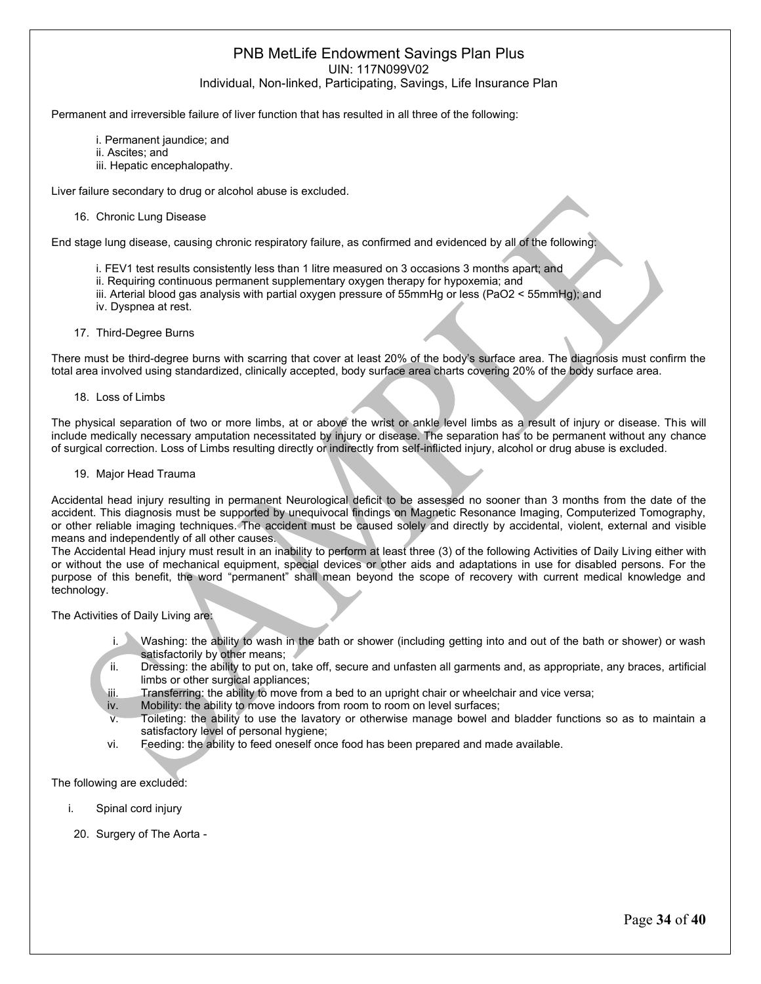Permanent and irreversible failure of liver function that has resulted in all three of the following:

- i. Permanent jaundice; and
- ii. Ascites; and
- iii. Hepatic encephalopathy.

Liver failure secondary to drug or alcohol abuse is excluded.

16. Chronic Lung Disease

End stage lung disease, causing chronic respiratory failure, as confirmed and evidenced by all of the following:

- i. FEV1 test results consistently less than 1 litre measured on 3 occasions 3 months apart; and
- ii. Requiring continuous permanent supplementary oxygen therapy for hypoxemia; and
- iii. Arterial blood gas analysis with partial oxygen pressure of 55mmHg or less (PaO2 < 55mmHg); and
- iv. Dyspnea at rest.
- 17. Third-Degree Burns

There must be third-degree burns with scarring that cover at least 20% of the body's surface area. The diagnosis must confirm the total area involved using standardized, clinically accepted, body surface area charts covering 20% of the body surface area.

18. Loss of Limbs

The physical separation of two or more limbs, at or above the wrist or ankle level limbs as a result of injury or disease. This will include medically necessary amputation necessitated by injury or disease. The separation has to be permanent without any chance of surgical correction. Loss of Limbs resulting directly or indirectly from self-inflicted injury, alcohol or drug abuse is excluded.

19. Major Head Trauma

Accidental head injury resulting in permanent Neurological deficit to be assessed no sooner than 3 months from the date of the accident. This diagnosis must be supported by unequivocal findings on Magnetic Resonance Imaging, Computerized Tomography, or other reliable imaging techniques. The accident must be caused solely and directly by accidental, violent, external and visible means and independently of all other causes.

The Accidental Head injury must result in an inability to perform at least three (3) of the following Activities of Daily Living either with or without the use of mechanical equipment, special devices or other aids and adaptations in use for disabled persons. For the purpose of this benefit, the word "permanent" shall mean beyond the scope of recovery with current medical knowledge and technology.

The Activities of Daily Living are:

- Washing: the ability to wash in the bath or shower (including getting into and out of the bath or shower) or wash satisfactorily by other means;
- ii. Dressing: the ability to put on, take off, secure and unfasten all garments and, as appropriate, any braces, artificial limbs or other surgical appliances;
- iii. Transferring: the ability to move from a bed to an upright chair or wheelchair and vice versa;
- iv. Mobility: the ability to move indoors from room to room on level surfaces;
- Toileting: the ability to use the lavatory or otherwise manage bowel and bladder functions so as to maintain a satisfactory level of personal hygiene;
- vi. Feeding: the ability to feed oneself once food has been prepared and made available.

The following are excluded:

- i. Spinal cord injury
- 20. Surgery of The Aorta -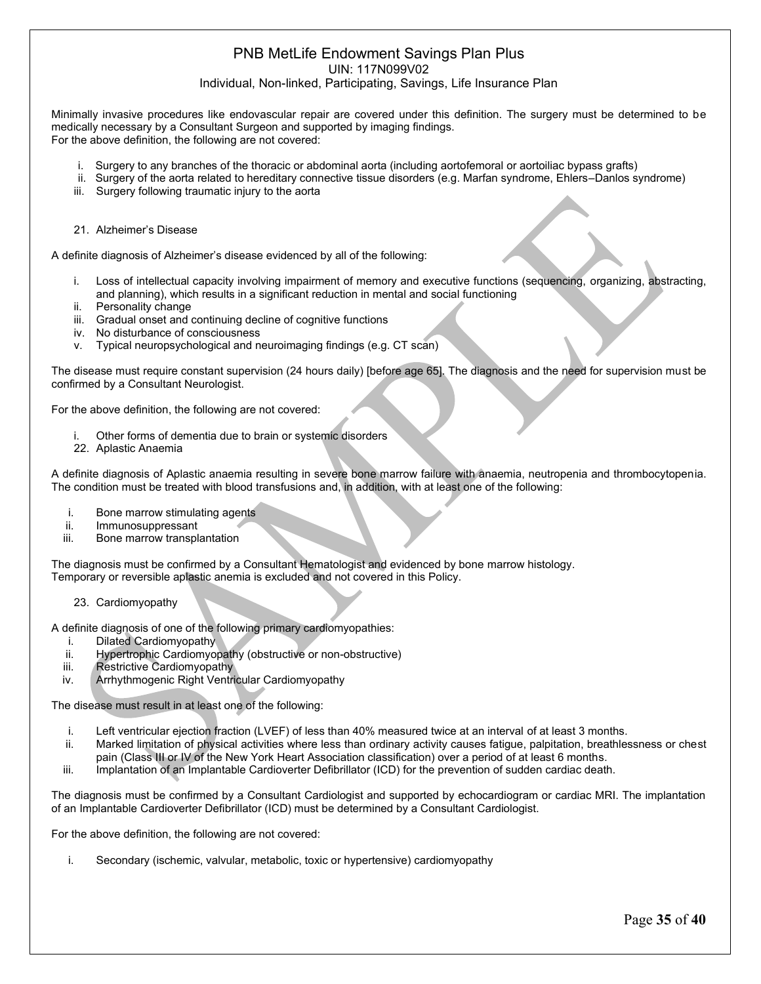# PNB MetLife Endowment Savings Plan Plus

UIN: 117N099V02

Individual, Non-linked, Participating, Savings, Life Insurance Plan

Minimally invasive procedures like endovascular repair are covered under this definition. The surgery must be determined to be medically necessary by a Consultant Surgeon and supported by imaging findings. For the above definition, the following are not covered:

- i. Surgery to any branches of the thoracic or abdominal aorta (including aortofemoral or aortoiliac bypass grafts)
- ii. Surgery of the aorta related to hereditary connective tissue disorders (e.g. Marfan syndrome, Ehlers–Danlos syndrome)
- iii. Surgery following traumatic injury to the aorta
- 21. Alzheimer's Disease

A definite diagnosis of Alzheimer's disease evidenced by all of the following:

- i. Loss of intellectual capacity involving impairment of memory and executive functions (sequencing, organizing, abstracting, and planning), which results in a significant reduction in mental and social functioning
- ii. Personality change
- iii. Gradual onset and continuing decline of cognitive functions
- iv. No disturbance of consciousness
- v. Typical neuropsychological and neuroimaging findings (e.g. CT scan)

The disease must require constant supervision (24 hours daily) [before age 65]. The diagnosis and the need for supervision must be confirmed by a Consultant Neurologist.

For the above definition, the following are not covered:

- Other forms of dementia due to brain or systemic disorders
- 22. Aplastic Anaemia

A definite diagnosis of Aplastic anaemia resulting in severe bone marrow failure with anaemia, neutropenia and thrombocytopenia. The condition must be treated with blood transfusions and, in addition, with at least one of the following:

- i. Bone marrow stimulating agents
- ii. Immunosuppressant
- iii. Bone marrow transplantation

The diagnosis must be confirmed by a Consultant Hematologist and evidenced by bone marrow histology. Temporary or reversible aplastic anemia is excluded and not covered in this Policy.

23. Cardiomyopathy

A definite diagnosis of one of the following primary cardiomyopathies:

- i. Dilated Cardiomyopathy
- ii. Hypertrophic Cardiomyopathy (obstructive or non-obstructive)
- iii. Restrictive Cardiomyopathy
- iv. Arrhythmogenic Right Ventricular Cardiomyopathy

The disease must result in at least one of the following:

- i. Left ventricular ejection fraction (LVEF) of less than 40% measured twice at an interval of at least 3 months.
- ii. Marked limitation of physical activities where less than ordinary activity causes fatigue, palpitation, breathlessness or chest pain (Class III or IV of the New York Heart Association classification) over a period of at least 6 months.
- iii. Implantation of an Implantable Cardioverter Defibrillator (ICD) for the prevention of sudden cardiac death.

The diagnosis must be confirmed by a Consultant Cardiologist and supported by echocardiogram or cardiac MRI. The implantation of an Implantable Cardioverter Defibrillator (ICD) must be determined by a Consultant Cardiologist.

For the above definition, the following are not covered:

i. Secondary (ischemic, valvular, metabolic, toxic or hypertensive) cardiomyopathy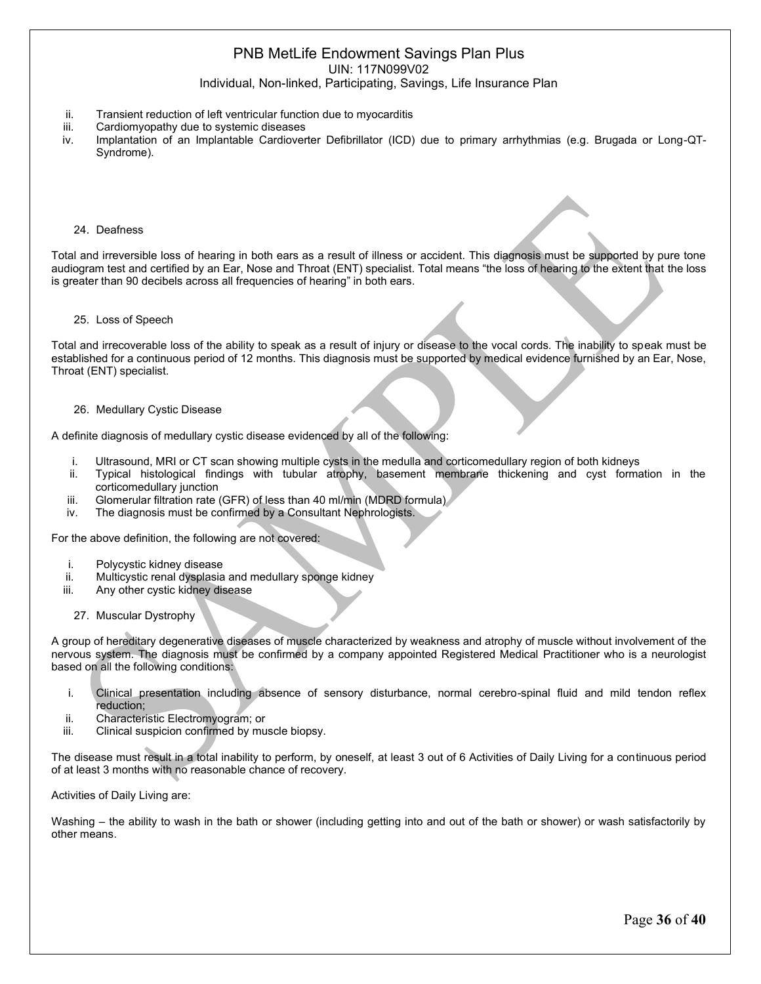### PNB MetLife Endowment Savings Plan Plus UIN: 117N099V02

Individual, Non-linked, Participating, Savings, Life Insurance Plan

- ii. Transient reduction of left ventricular function due to myocarditis
- iii. Cardiomyopathy due to systemic diseases
- iv. Implantation of an Implantable Cardioverter Defibrillator (ICD) due to primary arrhythmias (e.g. Brugada or Long-QT-Syndrome).
	- 24. Deafness

Total and irreversible loss of hearing in both ears as a result of illness or accident. This diagnosis must be supported by pure tone audiogram test and certified by an Ear, Nose and Throat (ENT) specialist. Total means "the loss of hearing to the extent that the loss is greater than 90 decibels across all frequencies of hearing" in both ears.

#### 25. Loss of Speech

Total and irrecoverable loss of the ability to speak as a result of injury or disease to the vocal cords. The inability to speak must be established for a continuous period of 12 months. This diagnosis must be supported by medical evidence furnished by an Ear, Nose, Throat (ENT) specialist.

#### 26. Medullary Cystic Disease

A definite diagnosis of medullary cystic disease evidenced by all of the following:

- i. Ultrasound, MRI or CT scan showing multiple cysts in the medulla and corticomedullary region of both kidneys
- ii. Typical histological findings with tubular atrophy, basement membrane thickening and cyst formation in the corticomedullary junction
- iii. Glomerular filtration rate (GFR) of less than 40 ml/min (MDRD formula)
- iv. The diagnosis must be confirmed by a Consultant Nephrologists.

For the above definition, the following are not covered:

- i. Polycystic kidney disease
- ii. Multicystic renal dysplasia and medullary sponge kidney
- iii. Any other cystic kidney disease
	- 27. Muscular Dystrophy

A group of hereditary degenerative diseases of muscle characterized by weakness and atrophy of muscle without involvement of the nervous system. The diagnosis must be confirmed by a company appointed Registered Medical Practitioner who is a neurologist based on all the following conditions:

- i. Clinical presentation including absence of sensory disturbance, normal cerebro-spinal fluid and mild tendon reflex reduction;
- ii. Characteristic Electromyogram; or
- iii. Clinical suspicion confirmed by muscle biopsy.

The disease must result in a total inability to perform, by oneself, at least 3 out of 6 Activities of Daily Living for a continuous period of at least 3 months with no reasonable chance of recovery.

Activities of Daily Living are:

Washing – the ability to wash in the bath or shower (including getting into and out of the bath or shower) or wash satisfactorily by other means.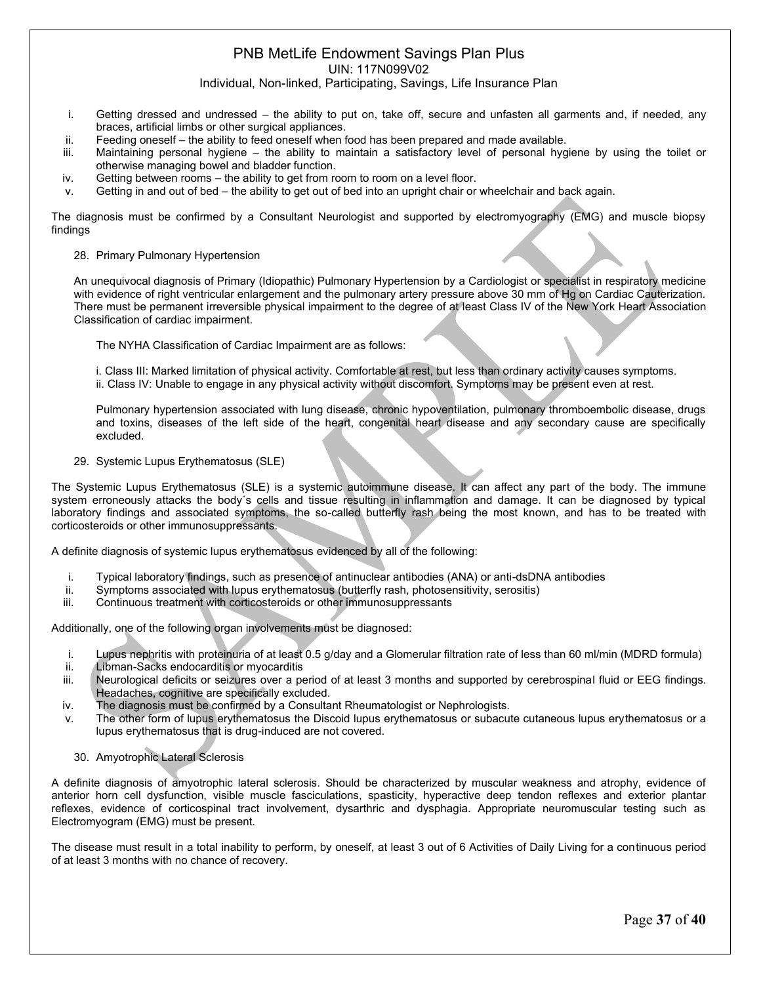#### PNB MetLife Endowment Savings Plan Plus UIN: 117N099V02

Individual, Non-linked, Participating, Savings, Life Insurance Plan

- i. Getting dressed and undressed the ability to put on, take off, secure and unfasten all garments and, if needed, any braces, artificial limbs or other surgical appliances.
- ii. Feeding oneself the ability to feed oneself when food has been prepared and made available.
- iii. Maintaining personal hygiene the ability to maintain a satisfactory level of personal hygiene by using the toilet or otherwise managing bowel and bladder function.
- iv. Getting between rooms the ability to get from room to room on a level floor.
- v. Getting in and out of bed the ability to get out of bed into an upright chair or wheelchair and back again.

The diagnosis must be confirmed by a Consultant Neurologist and supported by electromyography (EMG) and muscle biopsy findings

28. Primary Pulmonary Hypertension

An unequivocal diagnosis of Primary (Idiopathic) Pulmonary Hypertension by a Cardiologist or specialist in respiratory medicine with evidence of right ventricular enlargement and the pulmonary artery pressure above 30 mm of Hg on Cardiac Cauterization. There must be permanent irreversible physical impairment to the degree of at least Class IV of the New York Heart Association Classification of cardiac impairment.

The NYHA Classification of Cardiac Impairment are as follows:

i. Class III: Marked limitation of physical activity. Comfortable at rest, but less than ordinary activity causes symptoms. ii. Class IV: Unable to engage in any physical activity without discomfort. Symptoms may be present even at rest.

Pulmonary hypertension associated with lung disease, chronic hypoventilation, pulmonary thromboembolic disease, drugs and toxins, diseases of the left side of the heart, congenital heart disease and any secondary cause are specifically excluded.

29. Systemic Lupus Erythematosus (SLE)

The Systemic Lupus Erythematosus (SLE) is a systemic autoimmune disease. It can affect any part of the body. The immune system erroneously attacks the body´s cells and tissue resulting in inflammation and damage. It can be diagnosed by typical laboratory findings and associated symptoms, the so-called butterfly rash being the most known, and has to be treated with corticosteroids or other immunosuppressants.

A definite diagnosis of systemic lupus erythematosus evidenced by all of the following:

- i. Typical laboratory findings, such as presence of antinuclear antibodies (ANA) or anti-dsDNA antibodies
- ii. Symptoms associated with lupus erythematosus (butterfly rash, photosensitivity, serositis)
- iii. Continuous treatment with corticosteroids or other immunosuppressants

Additionally, one of the following organ involvements must be diagnosed:

- i. Lupus nephritis with proteinuria of at least 0.5 g/day and a Glomerular filtration rate of less than 60 ml/min (MDRD formula)
- ii. Libman-Sacks endocarditis or myocarditis
- iii. Neurological deficits or seizures over a period of at least 3 months and supported by cerebrospinal fluid or EEG findings. Headaches, cognitive are specifically excluded.
- iv. The diagnosis must be confirmed by a Consultant Rheumatologist or Nephrologists.
- v. The other form of lupus erythematosus the Discoid lupus erythematosus or subacute cutaneous lupus erythematosus or a lupus erythematosus that is drug-induced are not covered.
	- 30. Amyotrophic Lateral Sclerosis

A definite diagnosis of amyotrophic lateral sclerosis. Should be characterized by muscular weakness and atrophy, evidence of anterior horn cell dysfunction, visible muscle fasciculations, spasticity, hyperactive deep tendon reflexes and exterior plantar reflexes, evidence of corticospinal tract involvement, dysarthric and dysphagia. Appropriate neuromuscular testing such as Electromyogram (EMG) must be present.

The disease must result in a total inability to perform, by oneself, at least 3 out of 6 Activities of Daily Living for a continuous period of at least 3 months with no chance of recovery.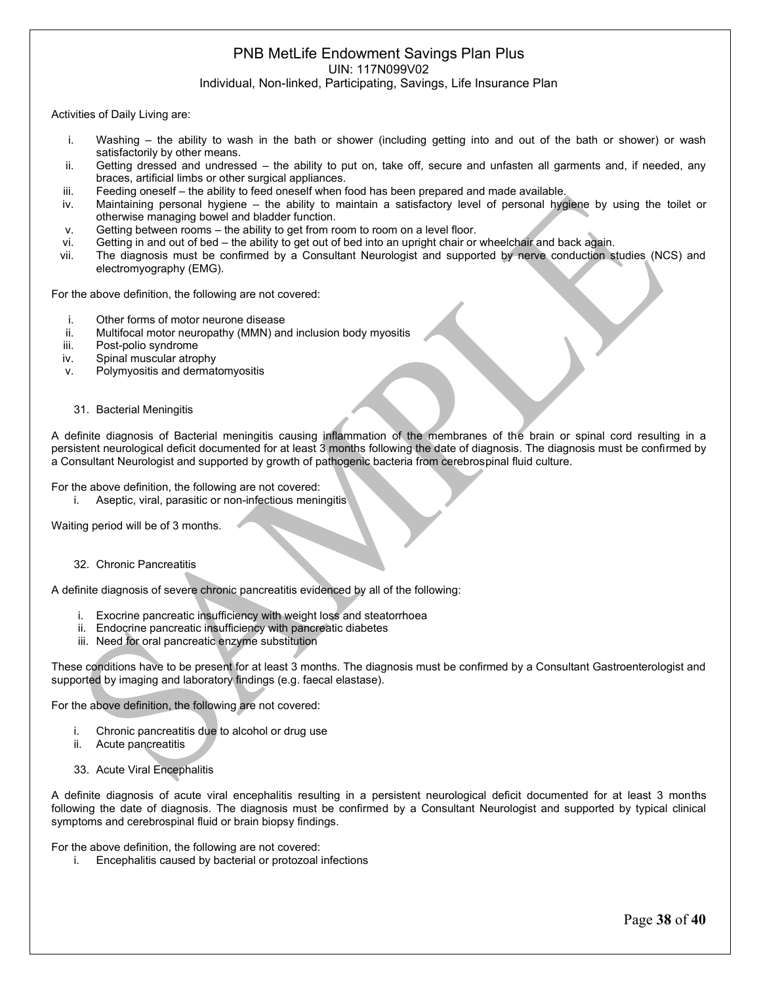Activities of Daily Living are:

- i. Washing the ability to wash in the bath or shower (including getting into and out of the bath or shower) or wash satisfactorily by other means.
- ii. Getting dressed and undressed the ability to put on, take off, secure and unfasten all garments and, if needed, any braces, artificial limbs or other surgical appliances.
- iii. Feeding oneself the ability to feed oneself when food has been prepared and made available.
- iv. Maintaining personal hygiene the ability to maintain a satisfactory level of personal hygiene by using the toilet or otherwise managing bowel and bladder function.
- v. Getting between rooms the ability to get from room to room on a level floor.
- vi. Getting in and out of bed the ability to get out of bed into an upright chair or wheelchair and back again.
- vii. The diagnosis must be confirmed by a Consultant Neurologist and supported by nerve conduction studies (NCS) and electromyography (EMG).

For the above definition, the following are not covered:

- i. Other forms of motor neurone disease
- ii. Multifocal motor neuropathy (MMN) and inclusion body myositis
- iii. Post-polio syndrome
- iv. Spinal muscular atrophy
- v. Polymyositis and dermatomyositis
	- 31. Bacterial Meningitis

A definite diagnosis of Bacterial meningitis causing inflammation of the membranes of the brain or spinal cord resulting in a persistent neurological deficit documented for at least 3 months following the date of diagnosis. The diagnosis must be confirmed by a Consultant Neurologist and supported by growth of pathogenic bacteria from cerebrospinal fluid culture.

For the above definition, the following are not covered:

i. Aseptic, viral, parasitic or non-infectious meningitis

Waiting period will be of 3 months.

32. Chronic Pancreatitis

A definite diagnosis of severe chronic pancreatitis evidenced by all of the following:

- i. Exocrine pancreatic insufficiency with weight loss and steatorrhoea
- ii. Endocrine pancreatic insufficiency with pancreatic diabetes
- iii. Need for oral pancreatic enzyme substitution

These conditions have to be present for at least 3 months. The diagnosis must be confirmed by a Consultant Gastroenterologist and supported by imaging and laboratory findings (e.g. faecal elastase).

For the above definition, the following are not covered:

- i. Chronic pancreatitis due to alcohol or drug use
- ii. Acute pancreatitis
- 33. Acute Viral Encephalitis

A definite diagnosis of acute viral encephalitis resulting in a persistent neurological deficit documented for at least 3 months following the date of diagnosis. The diagnosis must be confirmed by a Consultant Neurologist and supported by typical clinical symptoms and cerebrospinal fluid or brain biopsy findings.

For the above definition, the following are not covered:

i. Encephalitis caused by bacterial or protozoal infections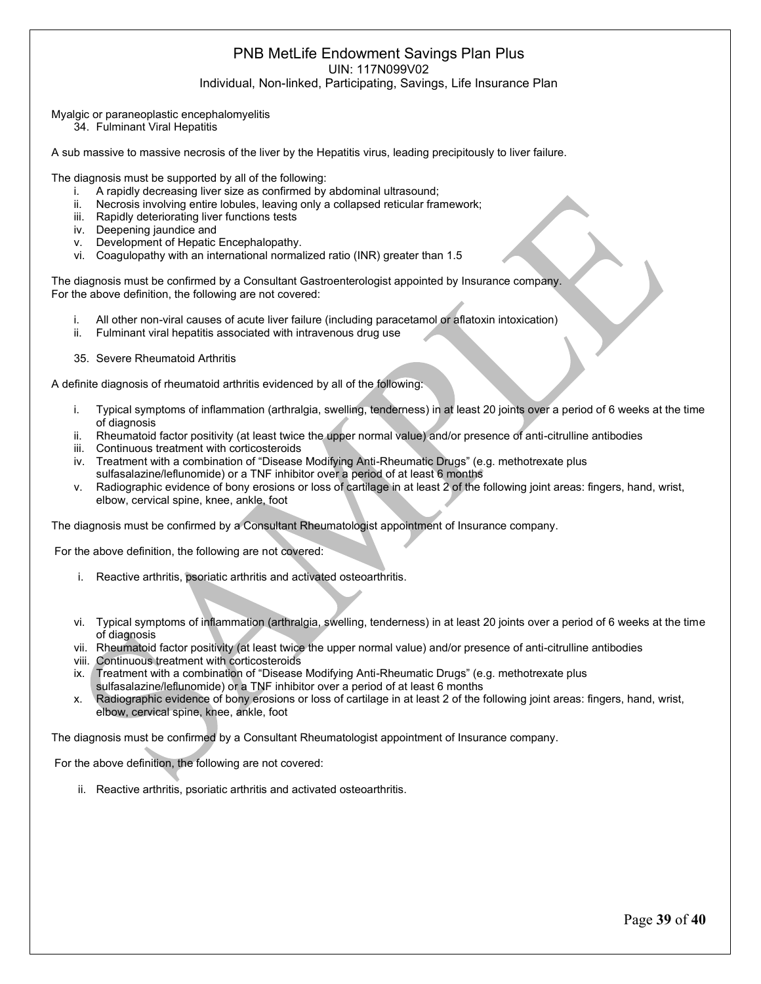Myalgic or paraneoplastic encephalomyelitis

34. Fulminant Viral Hepatitis

A sub massive to massive necrosis of the liver by the Hepatitis virus, leading precipitously to liver failure.

The diagnosis must be supported by all of the following:

- i. A rapidly decreasing liver size as confirmed by abdominal ultrasound:
- ii. Necrosis involving entire lobules, leaving only a collapsed reticular framework;
- iii. Rapidly deteriorating liver functions tests
- iv. Deepening jaundice and
- v. Development of Hepatic Encephalopathy.
- vi. Coagulopathy with an international normalized ratio (INR) greater than 1.5

The diagnosis must be confirmed by a Consultant Gastroenterologist appointed by Insurance company. For the above definition, the following are not covered:

- i. All other non-viral causes of acute liver failure (including paracetamol or aflatoxin intoxication)
- ii. Fulminant viral hepatitis associated with intravenous drug use
- 35. Severe Rheumatoid Arthritis

A definite diagnosis of rheumatoid arthritis evidenced by all of the following:

- i. Typical symptoms of inflammation (arthralgia, swelling, tenderness) in at least 20 joints over a period of 6 weeks at the time of diagnosis
- ii. Rheumatoid factor positivity (at least twice the upper normal value) and/or presence of anti-citrulline antibodies
- iii. Continuous treatment with corticosteroids
- iv. Treatment with a combination of "Disease Modifying Anti-Rheumatic Drugs" (e.g. methotrexate plus sulfasalazine/leflunomide) or a TNF inhibitor over a period of at least 6 months
- v. Radiographic evidence of bony erosions or loss of cartilage in at least 2 of the following joint areas: fingers, hand, wrist, elbow, cervical spine, knee, ankle, foot

The diagnosis must be confirmed by a Consultant Rheumatologist appointment of Insurance company.

For the above definition, the following are not covered:

- i. Reactive arthritis, psoriatic arthritis and activated osteoarthritis.
- vi. Typical symptoms of inflammation (arthralgia, swelling, tenderness) in at least 20 joints over a period of 6 weeks at the time of diagnosis
- vii. Rheumatoid factor positivity (at least twice the upper normal value) and/or presence of anti-citrulline antibodies
- viii. Continuous treatment with corticosteroids
- ix. Treatment with a combination of "Disease Modifying Anti-Rheumatic Drugs" (e.g. methotrexate plus sulfasalazine/leflunomide) or a TNF inhibitor over a period of at least 6 months
- x. Radiographic evidence of bony erosions or loss of cartilage in at least 2 of the following joint areas: fingers, hand, wrist, elbow, cervical spine, knee, ankle, foot

The diagnosis must be confirmed by a Consultant Rheumatologist appointment of Insurance company.

For the above definition, the following are not covered:

ii. Reactive arthritis, psoriatic arthritis and activated osteoarthritis.